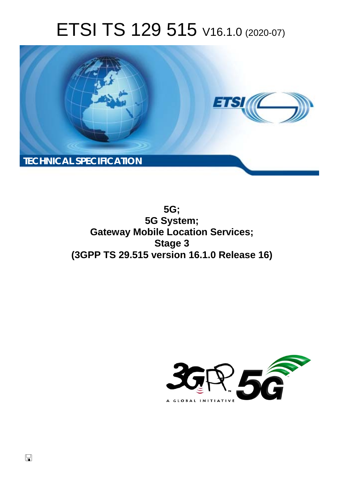# ETSI TS 129 515 V16.1.0 (2020-07)



**5G; 5G System; Gateway Mobile Location Services; Stage 3 (3GPP TS 29.515 version 16.1.0 Release 16)** 

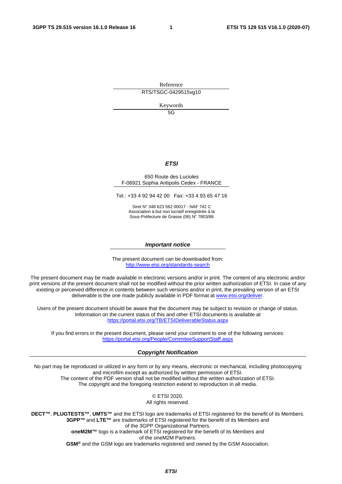Reference RTS/TSGC-0429515vg10

Keywords

5G

#### *ETSI*

#### 650 Route des Lucioles F-06921 Sophia Antipolis Cedex - FRANCE

Tel.: +33 4 92 94 42 00 Fax: +33 4 93 65 47 16

Siret N° 348 623 562 00017 - NAF 742 C Association à but non lucratif enregistrée à la Sous-Préfecture de Grasse (06) N° 7803/88

#### *Important notice*

The present document can be downloaded from: <http://www.etsi.org/standards-search>

The present document may be made available in electronic versions and/or in print. The content of any electronic and/or print versions of the present document shall not be modified without the prior written authorization of ETSI. In case of any existing or perceived difference in contents between such versions and/or in print, the prevailing version of an ETSI deliverable is the one made publicly available in PDF format at [www.etsi.org/deliver.](http://www.etsi.org/deliver)

Users of the present document should be aware that the document may be subject to revision or change of status. Information on the current status of this and other ETSI documents is available at <https://portal.etsi.org/TB/ETSIDeliverableStatus.aspx>

If you find errors in the present document, please send your comment to one of the following services: <https://portal.etsi.org/People/CommiteeSupportStaff.aspx>

#### *Copyright Notification*

No part may be reproduced or utilized in any form or by any means, electronic or mechanical, including photocopying and microfilm except as authorized by written permission of ETSI. The content of the PDF version shall not be modified without the written authorization of ETSI. The copyright and the foregoing restriction extend to reproduction in all media.

> © ETSI 2020. All rights reserved.

**DECT™**, **PLUGTESTS™**, **UMTS™** and the ETSI logo are trademarks of ETSI registered for the benefit of its Members. **3GPP™** and **LTE™** are trademarks of ETSI registered for the benefit of its Members and of the 3GPP Organizational Partners. **oneM2M™** logo is a trademark of ETSI registered for the benefit of its Members and of the oneM2M Partners. **GSM®** and the GSM logo are trademarks registered and owned by the GSM Association.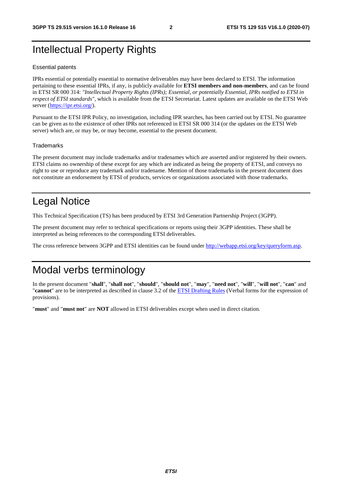# Intellectual Property Rights

#### Essential patents

IPRs essential or potentially essential to normative deliverables may have been declared to ETSI. The information pertaining to these essential IPRs, if any, is publicly available for **ETSI members and non-members**, and can be found in ETSI SR 000 314: *"Intellectual Property Rights (IPRs); Essential, or potentially Essential, IPRs notified to ETSI in respect of ETSI standards"*, which is available from the ETSI Secretariat. Latest updates are available on the ETSI Web server [\(https://ipr.etsi.org/](https://ipr.etsi.org/)).

Pursuant to the ETSI IPR Policy, no investigation, including IPR searches, has been carried out by ETSI. No guarantee can be given as to the existence of other IPRs not referenced in ETSI SR 000 314 (or the updates on the ETSI Web server) which are, or may be, or may become, essential to the present document.

#### **Trademarks**

The present document may include trademarks and/or tradenames which are asserted and/or registered by their owners. ETSI claims no ownership of these except for any which are indicated as being the property of ETSI, and conveys no right to use or reproduce any trademark and/or tradename. Mention of those trademarks in the present document does not constitute an endorsement by ETSI of products, services or organizations associated with those trademarks.

# Legal Notice

This Technical Specification (TS) has been produced by ETSI 3rd Generation Partnership Project (3GPP).

The present document may refer to technical specifications or reports using their 3GPP identities. These shall be interpreted as being references to the corresponding ETSI deliverables.

The cross reference between 3GPP and ETSI identities can be found under<http://webapp.etsi.org/key/queryform.asp>.

# Modal verbs terminology

In the present document "**shall**", "**shall not**", "**should**", "**should not**", "**may**", "**need not**", "**will**", "**will not**", "**can**" and "**cannot**" are to be interpreted as described in clause 3.2 of the [ETSI Drafting Rules](https://portal.etsi.org/Services/editHelp!/Howtostart/ETSIDraftingRules.aspx) (Verbal forms for the expression of provisions).

"**must**" and "**must not**" are **NOT** allowed in ETSI deliverables except when used in direct citation.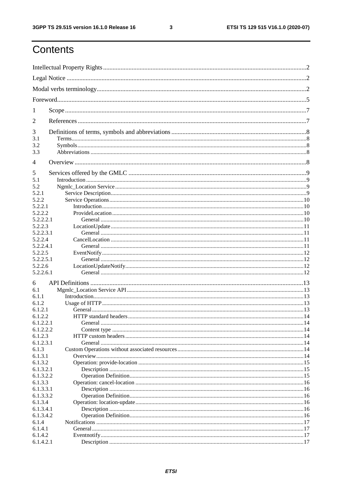$\mathbf{3}$ 

# Contents

| 1                    |  |  |  |  |  |
|----------------------|--|--|--|--|--|
| 2                    |  |  |  |  |  |
| 3                    |  |  |  |  |  |
| 3.1                  |  |  |  |  |  |
| 3.2                  |  |  |  |  |  |
| 3.3                  |  |  |  |  |  |
| $\overline{4}$       |  |  |  |  |  |
| 5                    |  |  |  |  |  |
| 5.1                  |  |  |  |  |  |
| 5.2                  |  |  |  |  |  |
| 5.2.1                |  |  |  |  |  |
| 5.2.2                |  |  |  |  |  |
| 5.2.2.1<br>5.2.2.2   |  |  |  |  |  |
| 5.2.2.2.1            |  |  |  |  |  |
| 5.2.2.3              |  |  |  |  |  |
| 5.2.2.3.1            |  |  |  |  |  |
| 5.2.2.4              |  |  |  |  |  |
| 5.2.2.4.1            |  |  |  |  |  |
| 5.2.2.5              |  |  |  |  |  |
| 5.2.2.5.1            |  |  |  |  |  |
| 5.2.2.6              |  |  |  |  |  |
| 5.2.2.6.1            |  |  |  |  |  |
| 6                    |  |  |  |  |  |
| 6.1                  |  |  |  |  |  |
| 6.1.1                |  |  |  |  |  |
| 6.1.2                |  |  |  |  |  |
| 6.1.2.1              |  |  |  |  |  |
| 6.1.2.2              |  |  |  |  |  |
| 6.1.2.2.1            |  |  |  |  |  |
| 6.1.2.2.2            |  |  |  |  |  |
| 6.1.2.3              |  |  |  |  |  |
| 6.1.2.3.1            |  |  |  |  |  |
| 6.1.3                |  |  |  |  |  |
| 6.1.3.1              |  |  |  |  |  |
| 6.1.3.2              |  |  |  |  |  |
| 6.1.3.2.1            |  |  |  |  |  |
| 6.1.3.2.2            |  |  |  |  |  |
| 6.1.3.3<br>6.1.3.3.1 |  |  |  |  |  |
| 6.1.3.3.2            |  |  |  |  |  |
| 6.1.3.4              |  |  |  |  |  |
| 6.1.3.4.1            |  |  |  |  |  |
| 6.1.3.4.2            |  |  |  |  |  |
| 6.1.4                |  |  |  |  |  |
| 6.1.4.1              |  |  |  |  |  |
| 6.1.4.2              |  |  |  |  |  |
| 6.1.4.2.1            |  |  |  |  |  |
|                      |  |  |  |  |  |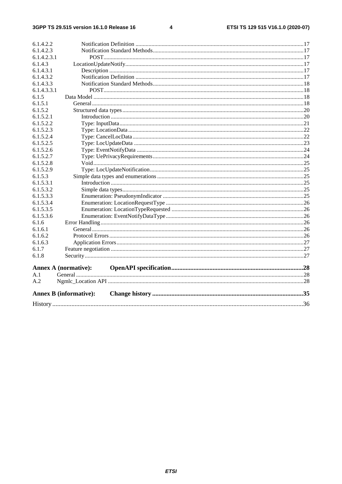$\overline{\mathbf{4}}$ 

|             | <b>Annex B</b> (informative): |  |  |
|-------------|-------------------------------|--|--|
| A.2         |                               |  |  |
| A.1         |                               |  |  |
|             | Annex A (normative):          |  |  |
| 6.1.8       |                               |  |  |
| 6.1.7       |                               |  |  |
| 6.1.6.3     |                               |  |  |
| 6.1.6.2     |                               |  |  |
| 6.1.6.1     |                               |  |  |
| 6.1.6       |                               |  |  |
| 6.1.5.3.6   |                               |  |  |
| 6.1.5.3.5   |                               |  |  |
| 6.1.5.3.4   |                               |  |  |
| 6.1.5.3.3   |                               |  |  |
| 6.1.5.3.2   |                               |  |  |
| 6.1.5.3.1   |                               |  |  |
| 6.1.5.3     |                               |  |  |
| 6.1.5.2.9   |                               |  |  |
| 6.1.5.2.8   |                               |  |  |
| 6.1.5.2.7   |                               |  |  |
| 6.1.5.2.6   |                               |  |  |
| 6.1.5.2.5   |                               |  |  |
| 6.1.5.2.4   |                               |  |  |
| 6.1.5.2.3   |                               |  |  |
| 6.1.5.2.2   |                               |  |  |
| 6.1.5.2.1   |                               |  |  |
| 6.1.5.2     |                               |  |  |
| 6.1.5.1     |                               |  |  |
| 6.1.5       |                               |  |  |
| 6.1.4.3.3.1 |                               |  |  |
| 6.1.4.3.3   |                               |  |  |
| 6.1.4.3.2   |                               |  |  |
| 6.1.4.3.1   |                               |  |  |
| 6.1.4.3     |                               |  |  |
| 6.1.4.2.3.1 |                               |  |  |
| 6.1.4.2.3   |                               |  |  |
| 6.1.4.2.2   |                               |  |  |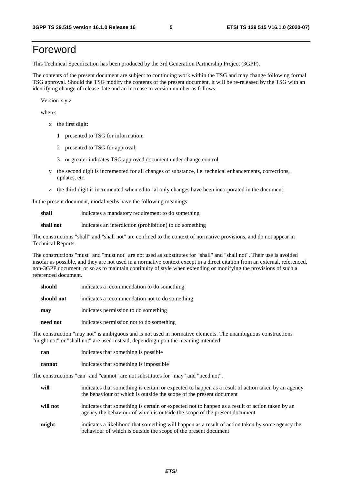# Foreword

This Technical Specification has been produced by the 3rd Generation Partnership Project (3GPP).

The contents of the present document are subject to continuing work within the TSG and may change following formal TSG approval. Should the TSG modify the contents of the present document, it will be re-released by the TSG with an identifying change of release date and an increase in version number as follows:

Version x.y.z

where:

- x the first digit:
	- 1 presented to TSG for information;
	- 2 presented to TSG for approval;
	- 3 or greater indicates TSG approved document under change control.
- y the second digit is incremented for all changes of substance, i.e. technical enhancements, corrections, updates, etc.
- z the third digit is incremented when editorial only changes have been incorporated in the document.

In the present document, modal verbs have the following meanings:

**shall** indicates a mandatory requirement to do something

**shall not** indicates an interdiction (prohibition) to do something

The constructions "shall" and "shall not" are confined to the context of normative provisions, and do not appear in Technical Reports.

The constructions "must" and "must not" are not used as substitutes for "shall" and "shall not". Their use is avoided insofar as possible, and they are not used in a normative context except in a direct citation from an external, referenced, non-3GPP document, or so as to maintain continuity of style when extending or modifying the provisions of such a referenced document.

| should     | indicates a recommendation to do something     |
|------------|------------------------------------------------|
| should not | indicates a recommendation not to do something |
| may        | indicates permission to do something           |
| need not   | indicates permission not to do something       |

The construction "may not" is ambiguous and is not used in normative elements. The unambiguous constructions "might not" or "shall not" are used instead, depending upon the meaning intended.

| can    | indicates that something is possible   |
|--------|----------------------------------------|
| cannot | indicates that something is impossible |

The constructions "can" and "cannot" are not substitutes for "may" and "need not".

| will     | indicates that something is certain or expected to happen as a result of action taken by an agency<br>the behaviour of which is outside the scope of the present document     |
|----------|-------------------------------------------------------------------------------------------------------------------------------------------------------------------------------|
| will not | indicates that something is certain or expected not to happen as a result of action taken by an<br>agency the behaviour of which is outside the scope of the present document |
| might    | indicates a likelihood that something will happen as a result of action taken by some agency the<br>behaviour of which is outside the scope of the present document           |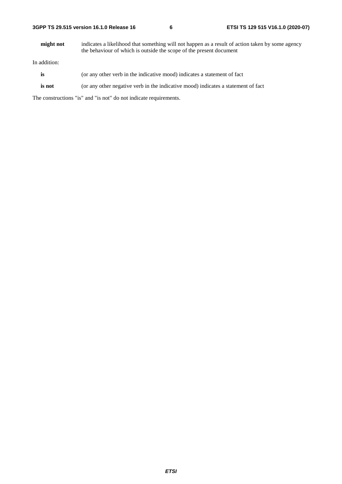| 3GPP TS 29.515 version 16.1.0 Release 16 |  |  |
|------------------------------------------|--|--|
|------------------------------------------|--|--|

**might not** indicates a likelihood that something will not happen as a result of action taken by some agency the behaviour of which is outside the scope of the present document

In addition:

- is (or any other verb in the indicative mood) indicates a statement of fact
- **is not** (or any other negative verb in the indicative mood) indicates a statement of fact

The constructions "is" and "is not" do not indicate requirements.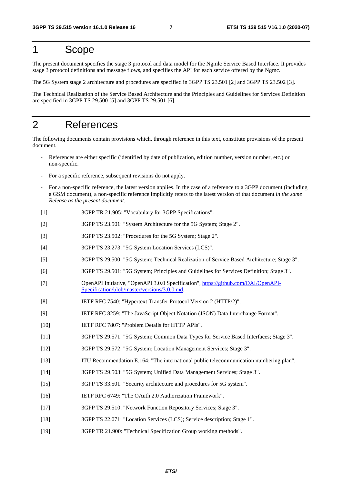# 1 Scope

The present document specifies the stage 3 protocol and data model for the Ngmlc Service Based Interface. It provides stage 3 protocol definitions and message flows, and specifies the API for each service offered by the Ngmc.

The 5G System stage 2 architecture and procedures are specified in 3GPP TS 23.501 [2] and 3GPP TS 23.502 [3].

The Technical Realization of the Service Based Architecture and the Principles and Guidelines for Services Definition are specified in 3GPP TS 29.500 [5] and 3GPP TS 29.501 [6].

# 2 References

The following documents contain provisions which, through reference in this text, constitute provisions of the present document.

- References are either specific (identified by date of publication, edition number, version number, etc.) or non-specific.
- For a specific reference, subsequent revisions do not apply.
- For a non-specific reference, the latest version applies. In the case of a reference to a 3GPP document (including a GSM document), a non-specific reference implicitly refers to the latest version of that document *in the same Release as the present document*.
- [1] 3GPP TR 21.905: "Vocabulary for 3GPP Specifications".
- [2] 3GPP TS 23.501: "System Architecture for the 5G System; Stage 2".
- [3] 3GPP TS 23.502: "Procedures for the 5G System; Stage 2".
- [4] 3GPP TS 23.273: "5G System Location Services (LCS)".
- [5] 3GPP TS 29.500: "5G System; Technical Realization of Service Based Architecture; Stage 3".
- [6] 3GPP TS 29.501: "5G System; Principles and Guidelines for Services Definition; Stage 3".
- [7] OpenAPI Initiative, "OpenAPI 3.0.0 Specification", [https://github.com/OAI/OpenAPI](https://github.com/OAI/OpenAPI-Specification/blob/master/versions/3.0.0.md)-[Specification/blob/master/versions/3.0.0.md](https://github.com/OAI/OpenAPI-Specification/blob/master/versions/3.0.0.md).
- [8] IETF RFC 7540: "Hypertext Transfer Protocol Version 2 (HTTP/2)".
- [9] IETF RFC 8259: "The JavaScript Object Notation (JSON) Data Interchange Format".
- [10] IETF RFC 7807: "Problem Details for HTTP APIs".
- [11] 3GPP TS 29.571: "5G System; Common Data Types for Service Based Interfaces; Stage 3".
- [12] 3GPP TS 29.572: "5G System; Location Management Services; Stage 3".
- [13] ITU Recommendation E.164: "The international public telecommunication numbering plan".
- [14] 3GPP TS 29.503: "5G System; Unified Data Management Services; Stage 3".
- [15] 3GPP TS 33.501: "Security architecture and procedures for 5G system".
- [16] IETF RFC 6749: "The OAuth 2.0 Authorization Framework".
- [17] 3GPP TS 29.510: "Network Function Repository Services; Stage 3".
- [18] 3GPP TS 22.071: "Location Services (LCS); Service description; Stage 1".
- [19] 3GPP TR 21.900: "Technical Specification Group working methods".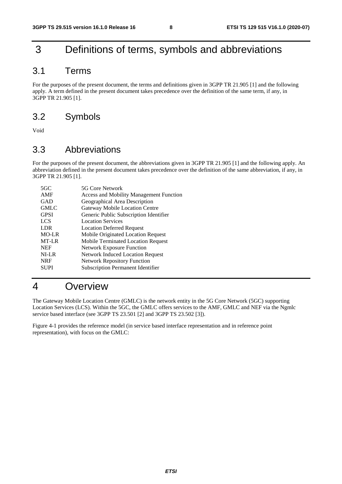# 3 Definitions of terms, symbols and abbreviations

# 3.1 Terms

For the purposes of the present document, the terms and definitions given in 3GPP TR 21.905 [1] and the following apply. A term defined in the present document takes precedence over the definition of the same term, if any, in 3GPP TR 21.905 [1].

# 3.2 Symbols

Void

# 3.3 Abbreviations

For the purposes of the present document, the abbreviations given in 3GPP TR 21.905 [1] and the following apply. An abbreviation defined in the present document takes precedence over the definition of the same abbreviation, if any, in 3GPP TR 21.905 [1].

| $5 \text{G} \text{C}$ | 5G Core Network                                |
|-----------------------|------------------------------------------------|
| AMF                   | <b>Access and Mobility Management Function</b> |
| GAD                   | Geographical Area Description                  |
| <b>GMLC</b>           | <b>Gateway Mobile Location Centre</b>          |
| <b>GPSI</b>           | Generic Public Subscription Identifier         |
| LCS                   | <b>Location Services</b>                       |
| <b>LDR</b>            | <b>Location Deferred Request</b>               |
| MO-LR                 | Mobile Originated Location Request             |
| MT-LR                 | Mobile Terminated Location Request             |
| <b>NEF</b>            | <b>Network Exposure Function</b>               |
| NI-LR                 | <b>Network Induced Location Request</b>        |
| <b>NRF</b>            | <b>Network Repository Function</b>             |
| <b>SUPI</b>           | <b>Subscription Permanent Identifier</b>       |
|                       |                                                |

# 4 Overview

The Gateway Mobile Location Centre (GMLC) is the network entity in the 5G Core Network (5GC) supporting Location Services (LCS). Within the 5GC, the GMLC offers services to the AMF, GMLC and NEF via the Ngmlc service based interface (see 3GPP TS 23.501 [2] and 3GPP TS 23.502 [3]).

Figure 4-1 provides the reference model (in service based interface representation and in reference point representation), with focus on the GMLC: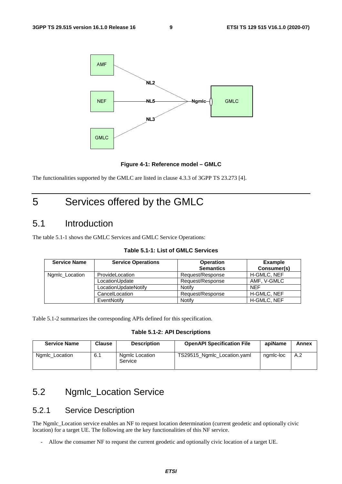

**Figure 4-1: Reference model – GMLC** 

The functionalities supported by the GMLC are listed in clause 4.3.3 of 3GPP TS 23.273 [4].

# 5 Services offered by the GMLC

# 5.1 Introduction

The table 5.1-1 shows the GMLC Services and GMLC Service Operations:

| <b>Service Name</b> | <b>Service Operations</b> | <b>Operation</b><br><b>Semantics</b> | <b>Example</b><br>Consumer(s) |
|---------------------|---------------------------|--------------------------------------|-------------------------------|
| Ngmlc_Location      | ProvideLocation           | Request/Response                     | <b>H-GMLC, NEF</b>            |
|                     | LocationUpdate            | Request/Response                     | AMF. V-GMLC                   |
|                     | LocationUpdateNotify      | Notify                               | <b>NEF</b>                    |
|                     | CancelLocation            | Request/Response                     | <b>H-GMLC, NEF</b>            |
|                     | EventNotify               | Notify                               | H-GMLC, NEF                   |

#### **Table 5.1-1: List of GMLC Services**

Table 5.1-2 summarizes the corresponding APIs defined for this specification.

**Table 5.1-2: API Descriptions** 

| <b>Service Name</b><br><b>Clause</b><br><b>Description</b> |     | <b>OpenAPI Specification File</b> | apiName                     | Annex     |     |
|------------------------------------------------------------|-----|-----------------------------------|-----------------------------|-----------|-----|
| Ngmlc Location                                             | 6.1 | Ngmlc Location<br>Service         | TS29515_Ngmlc_Location.yaml | ngmlc-loc | A.2 |

# 5.2 Ngmlc\_Location Service

# 5.2.1 Service Description

The Ngmlc\_Location service enables an NF to request location determination (current geodetic and optionally civic location) for a target UE. The following are the key functionalities of this NF service.

- Allow the consumer NF to request the current geodetic and optionally civic location of a target UE.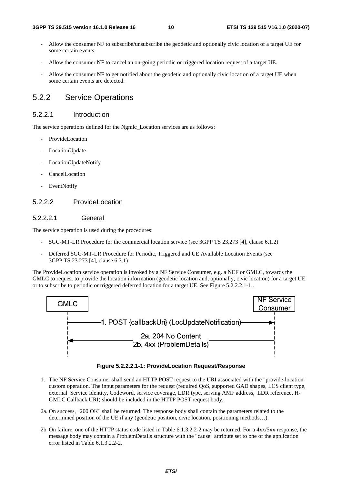- Allow the consumer NF to subscribe/unsubscribe the geodetic and optionally civic location of a target UE for some certain events.
- Allow the consumer NF to cancel an on-going periodic or triggered location request of a target UE.
- Allow the consumer NF to get notified about the geodetic and optionally civic location of a target UE when some certain events are detected.

# 5.2.2 Service Operations

#### 5.2.2.1 Introduction

The service operations defined for the Ngmlc\_Location services are as follows:

- ProvideLocation
- LocationUpdate
- LocationUpdateNotify
- **CancelLocation**
- EventNotify

#### 5.2.2.2 ProvideLocation

#### 5.2.2.2.1 General

The service operation is used during the procedures:

- 5GC-MT-LR Procedure for the commercial location service (see 3GPP TS 23.273 [4], clause 6.1.2)
- Deferred 5GC-MT-LR Procedure for Periodic, Triggered and UE Available Location Events (see 3GPP TS 23.273 [4], clause 6.3.1)

The ProvideLocation service operation is invoked by a NF Service Consumer, e.g. a NEF or GMLC, towards the GMLC to request to provide the location information (geodetic location and, optionally, civic location) for a target UE or to subscribe to periodic or triggered deferred location for a target UE. See Figure 5.2.2.2.1-1..



**Figure 5.2.2.2.1-1: ProvideLocation Request/Response** 

- 1. The NF Service Consumer shall send an HTTP POST request to the URI associated with the "provide-location" custom operation. The input parameters for the request (required QoS, supported GAD shapes, LCS client type, external Service Identity, Codeword, service coverage, LDR type, serving AMF address, LDR reference, H-GMLC Callback URI) should be included in the HTTP POST request body.
- 2a. On success, "200 OK" shall be returned. The response body shall contain the parameters related to the determined position of the UE if any (geodetic position, civic location, positioning methods…).
- 2b On failure, one of the HTTP status code listed in Table 6.1.3.2.2-2 may be returned. For a 4xx/5xx response, the message body may contain a ProblemDetails structure with the "cause" attribute set to one of the application error listed in Table 6.1.3.2.2-2.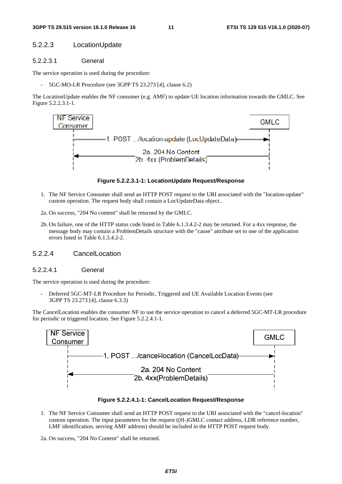#### 5.2.2.3 LocationUpdate

#### 5.2.2.3.1 General

The service operation is used during the procedure:

- 5GC-MO-LR Procedure (see 3GPP TS 23.273 [4], clause 6.2)

The LocationUpdate enables the NF consumer (e.g. AMF) to update UE location information towards the GMLC. See Figure 5.2.2.3.1-1.



**Figure 5.2.2.3.1-1: LocationUpdate Request/Response** 

- 1. The NF Service Consumer shall send an HTTP POST request to the URI associated with the "location-update" custom operation. The request body shall contain a LocUpdateData object..
- 2a. On success, "204 No content" shall be returned by the GMLC.
- 2b. On failure, one of the HTTP status code listed in Table 6.1.3.4.2-2 may be returned. For a 4xx response, the message body may contain a ProblemDetails structure with the "cause" attribute set to one of the application errors listed in Table 6.1.3.4.2-2.

#### 5.2.2.4 CancelLocation

#### 5.2.2.4.1 General

The service operation is used during the procedure:

Deferred 5GC-MT-LR Procedure for Periodic, Triggered and UE Available Location Events (see 3GPP TS 23.273 [4], clause 6.3.3)

The CancelLocation enables the consumer NF to use the service operation to cancel a deferred 5GC-MT-LR procedure for periodic or triggered location. See Figure 5.2.2.4.1-1.



**Figure 5.2.2.4.1-1: CancelLocation Request/Response** 

- 1. The NF Service Consumer shall send an HTTP POST request to the URI associated with the "cancel-location" custom operation. The input parameters for the request ((H-)GMLC contact address, LDR reference number, LMF identification, serving AMF address) should be included in the HTTP POST request body.
- 2a. On success, "204 No Content" shall be returned.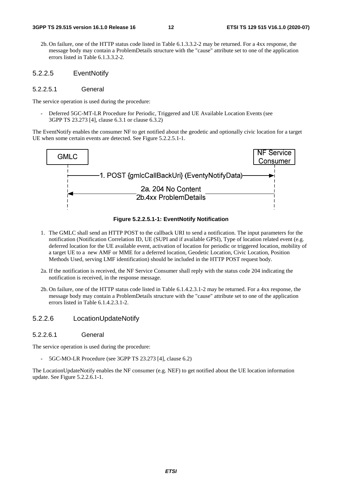- 2b. On failure, one of the HTTP status code listed in Table 6.1.3.3.2-2 may be returned. For a 4xx response, the message body may contain a ProblemDetails structure with the "cause" attribute set to one of the application errors listed in Table 6.1.3.3.2-2.
- 5.2.2.5 EventNotify

#### 5.2.2.5.1 General

The service operation is used during the procedure:

- Deferred 5GC-MT-LR Procedure for Periodic, Triggered and UE Available Location Events (see 3GPP TS 23.273 [4], clause 6.3.1 or clause 6.3.2)

The EventNotify enables the consumer NF to get notified about the geodetic and optionally civic location for a target UE when some certain events are detected. See Figure 5.2.2.5.1-1.



#### **Figure 5.2.2.5.1-1: EventNotify Notification**

- 1. The GMLC shall send an HTTP POST to the callback URI to send a notification. The input parameters for the notification (Notification Correlation ID, UE (SUPI and if available GPSI), Type of location related event (e.g. deferred location for the UE available event, activation of location for periodic or triggered location, mobility of a target UE to a new AMF or MME for a deferred location, Geodetic Location, Civic Location, Position Methods Used, serving LMF identification) should be included in the HTTP POST request body.
- 2a. If the notification is received, the NF Service Consumer shall reply with the status code 204 indicating the notification is received, in the response message.
- 2b. On failure, one of the HTTP status code listed in Table 6.1.4.2.3.1-2 may be returned. For a 4xx response, the message body may contain a ProblemDetails structure with the "cause" attribute set to one of the application errors listed in Table 6.1.4.2.3.1-2.

#### 5.2.2.6 LocationUpdateNotify

5.2.2.6.1 General

The service operation is used during the procedure:

5GC-MO-LR Procedure (see 3GPP TS 23.273 [4], clause 6.2)

The LocationUpdateNotify enables the NF consumer (e.g. NEF) to get notified about the UE location information update. See Figure 5.2.2.6.1-1.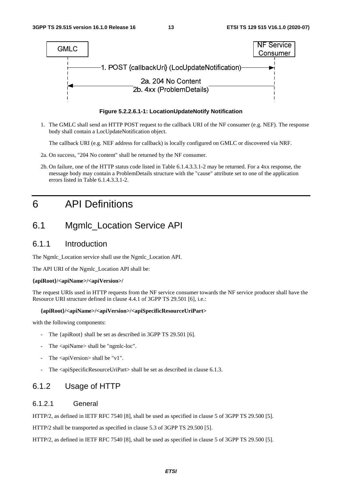

**Figure 5.2.2.6.1-1: LocationUpdateNotify Notification** 

1. The GMLC shall send an HTTP POST request to the callback URI of the NF consumer (e.g. NEF). The response body shall contain a LocUpdateNotification object.

The callback URI (e.g. NEF address for callback) is locally configured on GMLC or discovered via NRF.

- 2a. On success, "204 No content" shall be returned by the NF consumer.
- 2b. On failure, one of the HTTP status code listed in Table 6.1.4.3.3.1-2 may be returned. For a 4xx response, the message body may contain a ProblemDetails structure with the "cause" attribute set to one of the application errors listed in Table 6.1.4.3.3.1-2.

# 6 API Definitions

# 6.1 Mgmlc\_Location Service API

### 6.1.1 Introduction

The Ngmlc\_Location service shall use the Ngmlc\_Location API.

The API URI of the Ngmlc\_Location API shall be:

#### **{apiRoot}/<apiName>/<apiVersion>/**

The request URIs used in HTTP requests from the NF service consumer towards the NF service producer shall have the Resource URI structure defined in clause 4.4.1 of 3GPP TS 29.501 [6], i.e.:

#### **{apiRoot}/<apiName>/<apiVersion>/<apiSpecificResourceUriPart>**

with the following components:

- The {apiRoot} shall be set as described in 3GPP TS 29.501 [6].
- The <apiName> shall be "ngmlc-loc".
- The  $\langle$ apiVersion $>$ shall be "v1".
- The  $\langle$ apiSpecificResourceUriPart $>$ shall be set as described in clause 6.1.3.

### 6.1.2 Usage of HTTP

#### 6.1.2.1 General

HTTP/2, as defined in IETF RFC 7540 [8], shall be used as specified in clause 5 of 3GPP TS 29.500 [5].

HTTP/2 shall be transported as specified in clause 5.3 of 3GPP TS 29.500 [5].

HTTP/2, as defined in IETF RFC 7540 [8], shall be used as specified in clause 5 of 3GPP TS 29.500 [5].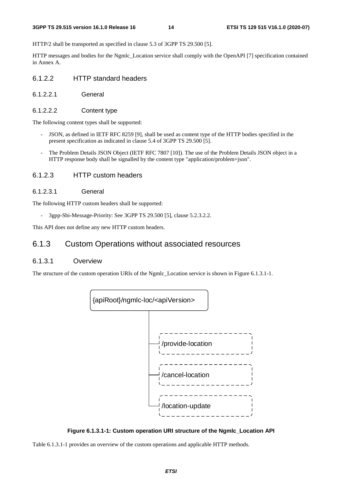HTTP/2 shall be transported as specified in clause 5.3 of 3GPP TS 29.500 [5].

HTTP messages and bodies for the Ngmlc\_Location service shall comply with the OpenAPI [7] specification contained in Annex A.

### 6.1.2.2 HTTP standard headers

- 6.1.2.2.1 General
- 6.1.2.2.2 Content type

The following content types shall be supported:

- JSON, as defined in IETF RFC 8259 [9], shall be used as content type of the HTTP bodies specified in the present specification as indicated in clause 5.4 of 3GPP TS 29.500 [5].
- The Problem Details JSON Object (IETF RFC 7807 [10]). The use of the Problem Details JSON object in a HTTP response body shall be signalled by the content type "application/problem+json".

#### 6.1.2.3 HTTP custom headers

6.1.2.3.1 General

The following HTTP custom headers shall be supported:

3gpp-Sbi-Message-Priority: See 3GPP TS 29.500 [5], clause 5.2.3.2.2.

This API does not define any new HTTP custom headers.

### 6.1.3 Custom Operations without associated resources

### 6.1.3.1 Overview

The structure of the custom operation URIs of the Ngmlc\_Location service is shown in Figure 6.1.3.1-1.



**Figure 6.1.3.1-1: Custom operation URI structure of the Ngmlc\_Location API** 

Table 6.1.3.1-1 provides an overview of the custom operations and applicable HTTP methods.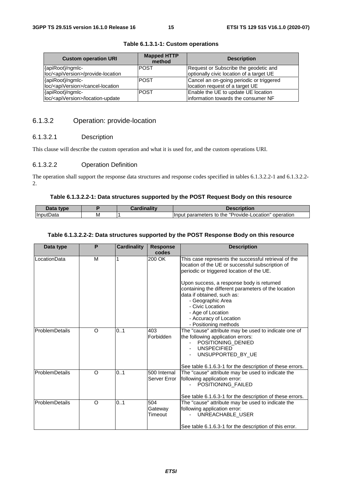| <b>Custom operation URI</b>                     | <b>Mapped HTTP</b><br>method | <b>Description</b>                       |
|-------------------------------------------------|------------------------------|------------------------------------------|
| {apiRoot}/ngmlc-                                | <b>POST</b>                  | Request or Subscribe the geodetic and    |
| loc/ <apiversion>/provide-location</apiversion> |                              | optionally civic location of a target UE |
| {apiRoot}/ngmlc-                                | <b>POST</b>                  | Cancel an on-going periodic or triggered |
| loc/ <apiversion>/cancel-location</apiversion>  |                              | location request of a target UE          |
| {apiRoot}/ngmlc-                                | <b>POST</b>                  | Enable the UE to update UE location      |
| loc/ <apiversion>/location-update</apiversion>  |                              | information towards the consumer NF      |

#### **Table 6.1.3.1-1: Custom operations**

### 6.1.3.2 Operation: provide-location

#### 6.1.3.2.1 Description

This clause will describe the custom operation and what it is used for, and the custom operations URI.

#### 6.1.3.2.2 Operation Definition

The operation shall support the response data structures and response codes specified in tables 6.1.3.2.2-1 and 6.1.3.2.2- 2.

#### **Table 6.1.3.2.2-1: Data structures supported by the POST Request Body on this resource**

| Jata<br><b>type</b> |   | والمقال والمسافا<br><b><i><u>PARAL</u></i></b> | <b>Description</b>                                                           |
|---------------------|---|------------------------------------------------|------------------------------------------------------------------------------|
| IInputData          | M |                                                | "Provide-L<br>operation<br>∟ocation"<br>Input<br><b>parameters</b><br>to the |

#### **Table 6.1.3.2.2-2: Data structures supported by the POST Response Body on this resource**

| Data type      | P | <b>Cardinality</b> | <b>Response</b><br>codes     | <b>Description</b>                                                                                                                                         |
|----------------|---|--------------------|------------------------------|------------------------------------------------------------------------------------------------------------------------------------------------------------|
| LocationData   | M |                    | 200 OK                       | This case represents the successful retrieval of the<br>location of the UE or successful subscription of<br>periodic or triggered location of the UE.      |
|                |   |                    |                              | Upon success, a response body is returned<br>containing the different parameters of the location                                                           |
|                |   |                    |                              | data if obtained, such as:<br>- Geographic Area                                                                                                            |
|                |   |                    |                              | - Civic Location                                                                                                                                           |
|                |   |                    |                              | - Age of Location                                                                                                                                          |
|                |   |                    |                              | - Accuracy of Location                                                                                                                                     |
|                |   |                    |                              | - Positioning methods                                                                                                                                      |
| ProblemDetails | O | 0.1                | 403<br>Forbidden             | The "cause" attribute may be used to indicate one of<br>the following application errors:<br>POSITIONING DENIED<br><b>UNSPECIFIED</b><br>UNSUPPORTED_BY_UE |
|                |   |                    |                              | See table 6.1.6.3-1 for the description of these errors.                                                                                                   |
| ProblemDetails | O | 0.1                | 500 Internal<br>Server Error | The "cause" attribute may be used to indicate the<br>following application error:<br>POSITIONING FAILED                                                    |
|                |   |                    |                              | See table 6.1.6.3-1 for the description of these errors.                                                                                                   |
| ProblemDetails | O | 0.1                | 504<br>Gateway<br>Timeout    | The "cause" attribute may be used to indicate the<br>following application error:<br>UNREACHABLE USER                                                      |
|                |   |                    |                              | See table 6.1.6.3-1 for the description of this error.                                                                                                     |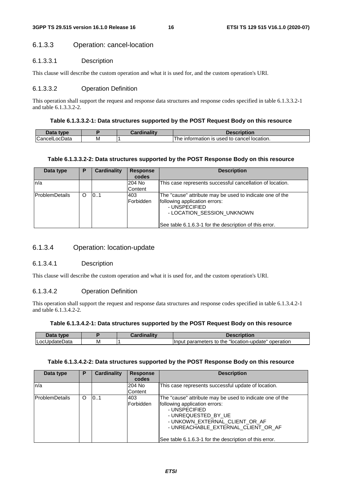### 6.1.3.3 Operation: cancel-location

#### 6.1.3.3.1 Description

This clause will describe the custom operation and what it is used for, and the custom operation's URI.

#### 6.1.3.3.2 Operation Definition

This operation shall support the request and response data structures and response codes specified in table 6.1.3.3.2-1 and table 6.1.3.3.2-2.

#### **Table 6.1.3.3.2-1: Data structures supported by the POST Request Body on this resource**

| Data type           |   | Cardinality | Description                                             |
|---------------------|---|-------------|---------------------------------------------------------|
| ∽<br>ICancelLocData | M |             | ⊧ information is used to ∈<br>cancel<br>location.<br>he |

#### **Table 6.1.3.3.2-2: Data structures supported by the POST Response Body on this resource**

| Data type       | Р | Cardinality | <b>Response</b><br>codes | <b>Description</b>                                                                                                                                                                                 |
|-----------------|---|-------------|--------------------------|----------------------------------------------------------------------------------------------------------------------------------------------------------------------------------------------------|
| n/a             |   |             | 204 No<br>Content        | This case represents successful cancellation of location.                                                                                                                                          |
| lProblemDetails | O | 101         | 403<br>Forbidden         | The "cause" attribute may be used to indicate one of the<br>following application errors:<br>- UNSPECIFIED<br>- LOCATION SESSION UNKNOWN<br>See table 6.1.6.3-1 for the description of this error. |

## 6.1.3.4 Operation: location-update

#### 6.1.3.4.1 Description

This clause will describe the custom operation and what it is used for, and the custom operation's URI.

#### 6.1.3.4.2 Operation Definition

This operation shall support the request and response data structures and response codes specified in table 6.1.3.4.2-1 and table 6.1.3.4.2-2.

#### **Table 6.1.3.4.2-1: Data structures supported by the POST Request Body on this resource**

| $-1-$<br>vne |   | - - 1940 |                                                                            |
|--------------|---|----------|----------------------------------------------------------------------------|
| ncl<br>alc.  | M |          | "location-<br>operation<br>parameters<br>⊿n-update"<br>llnpu.<br>the<br>tc |

#### **Table 6.1.3.4.2-2: Data structures supported by the POST Response Body on this resource**

| Data type             | Р | Cardinality | <b>Response</b><br>codes | <b>Description</b>                                                                                                                                                                                                                                                   |
|-----------------------|---|-------------|--------------------------|----------------------------------------------------------------------------------------------------------------------------------------------------------------------------------------------------------------------------------------------------------------------|
| n/a                   |   |             | 204 No<br>Content        | This case represents successful update of location.                                                                                                                                                                                                                  |
| <b>ProblemDetails</b> | O | 10.1        | 403<br>Forbidden         | The "cause" attribute may be used to indicate one of the<br>following application errors:<br>- UNSPECIFIED<br>- UNREQUESTED BY UE<br>- UNKOWN_EXTERNAL_CLIENT_OR_AF<br>- UNREACHABLE EXTERNAL CLIENT OR AF<br>See table 6.1.6.3-1 for the description of this error. |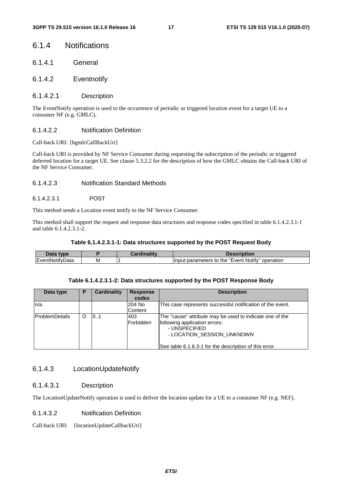### 6.1.4 Notifications

- 6.1.4.1 General
- 6.1.4.2 Eventnotify

#### 6.1.4.2.1 Description

The EventNotify operation is used to the occurrence of periodic or triggered location event for a target UE to a consumer NF (e.g. GMLC).

#### 6.1.4.2.2 Notification Definition

Call-back URI: {hgmlcCallBackUri}

Call-back URI is provided by NF Service Consumer during requesting the subscription of the periodic or triggered deferred location for a target UE. See clause 5.3.2.2 for the description of how the GMLC obtains the Call-back URI of the NF Service Consumer.

#### 6.1.4.2.3 Notification Standard Methods

#### 6.1.4.2.3.1 POST

This method sends a Location event notify to the NF Service Consumer.

This method shall support the request and response data structures and response codes specified in table 6.1.4.2.3.1-1 and table 6.1.4.2.3.1-2.

#### **Table 6.1.4.2.3.1-1: Data structures supported by the POST Request Body**

| type                |   | TIDIION                                                                       |
|---------------------|---|-------------------------------------------------------------------------------|
| <b>IEve</b><br>Jald | M | $\cdot$ $-$<br>Notify'<br>operation<br>Event<br>narameters to :<br>Inı<br>the |

#### **Table 6.1.4.2.3.1-2: Data structures supported by the POST Response Body**

| Data type       | Р | <b>Cardinality</b> | <b>Response</b><br>codes | <b>Description</b>                                                                                                                                                                                 |
|-----------------|---|--------------------|--------------------------|----------------------------------------------------------------------------------------------------------------------------------------------------------------------------------------------------|
| ln/a            |   |                    | 204 No<br>Content        | This case represents successful notification of the event.                                                                                                                                         |
| lProblemDetails | O | 101                | 403<br><b>IForbidden</b> | The "cause" attribute may be used to indicate one of the<br>following application errors:<br>- UNSPECIFIED<br>- LOCATION_SESSION_UNKNOWN<br>See table 6.1.6.3-1 for the description of this error. |

### 6.1.4.3 LocationUpdateNotify

#### 6.1.4.3.1 Description

The LocationUpdateNotify operation is used to deliver the location update for a UE to a consumer NF (e.g. NEF).

#### 6.1.4.3.2 Notification Definition

Call-back URI: {locationUpdateCallbackUri}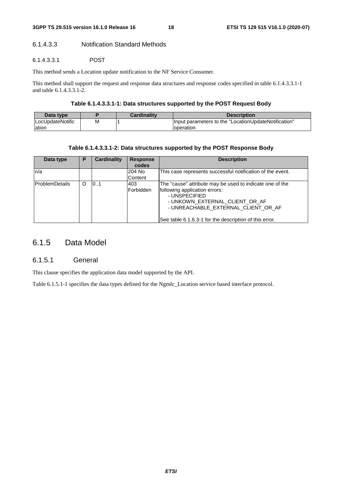### 6.1.4.3.3 Notification Standard Methods

#### 6.1.4.3.3.1 POST

This method sends a Location update notification to the NF Service Consumer.

This method shall support the request and response data structures and response codes specified in table 6.1.4.3.3.1-1 and table 6.1.4.3.3.1-2.

#### **Table 6.1.4.3.3.1-1: Data structures supported by the POST Request Body**

| Data type        |   | Cardinality | <b>Description</b>                                    |
|------------------|---|-------------|-------------------------------------------------------|
| LocUpdateNotific | м |             | llnput parameters to the "LocationUpdateNotification" |
| lation           |   |             | loperation                                            |

#### **Table 6.1.4.3.3.1-2: Data structures supported by the POST Response Body**

| Data type             | Р | Cardinality | <b>Response</b><br>codes | <b>Description</b>                                                                                                                                                                                                                            |
|-----------------------|---|-------------|--------------------------|-----------------------------------------------------------------------------------------------------------------------------------------------------------------------------------------------------------------------------------------------|
| n/a                   |   |             | 204 No<br>Content        | This case represents successful notification of the event.                                                                                                                                                                                    |
| <b>ProblemDetails</b> | O | 101         | 403<br>Forbidden         | The "cause" attribute may be used to indicate one of the<br>following application errors:<br>- UNSPECIFIED<br>- UNKOWN_EXTERNAL_CLIENT_OR_AF<br>- UNREACHABLE_EXTERNAL_CLIENT_OR_AF<br>See table 6.1.6.3-1 for the description of this error. |

# 6.1.5 Data Model

#### 6.1.5.1 General

This clause specifies the application data model supported by the API.

Table 6.1.5.1-1 specifies the data types defined for the Ngmlc\_Location service based interface protocol.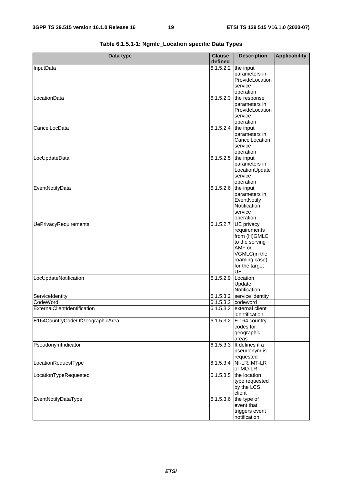| Data type                       | <b>Clause</b><br>defined | <b>Description</b>               | <b>Applicability</b> |
|---------------------------------|--------------------------|----------------------------------|----------------------|
| InputData                       | 6.1.5.2.2                | the input                        |                      |
|                                 |                          | parameters in                    |                      |
|                                 |                          | ProvideLocation                  |                      |
|                                 |                          | service                          |                      |
|                                 |                          | operation                        |                      |
| LocationData                    |                          | $6.1.5.2.3$ the response         |                      |
|                                 |                          | parameters in<br>ProvideLocation |                      |
|                                 |                          | service                          |                      |
|                                 |                          | operation                        |                      |
| CancelLocData                   | $6.1.5.2.4$ the input    |                                  |                      |
|                                 |                          | parameters in                    |                      |
|                                 |                          | CancelLocation                   |                      |
|                                 |                          | service                          |                      |
|                                 |                          | operation                        |                      |
| LocUpdateData                   | 6.1.5.2.5                | the input                        |                      |
|                                 |                          | parameters in                    |                      |
|                                 |                          | LocationUpdate<br>service        |                      |
|                                 |                          | operation                        |                      |
| EventNotifyData                 | 6.1.5.2.6 the input      |                                  |                      |
|                                 |                          | parameters in                    |                      |
|                                 |                          | EventNotify                      |                      |
|                                 |                          | Notification                     |                      |
|                                 |                          | service                          |                      |
|                                 |                          | operation                        |                      |
| <b>UePrivacyRequirements</b>    | 6.1.5.2.7                | UE privacy                       |                      |
|                                 |                          | requirements                     |                      |
|                                 |                          | from (H)GMLC<br>to the serving   |                      |
|                                 |                          | AMF or                           |                      |
|                                 |                          | VGMLC(in the                     |                      |
|                                 |                          | roaming case)                    |                      |
|                                 |                          | for the target                   |                      |
|                                 |                          | UE                               |                      |
| LocUpdateNotification           | 6.1.5.2.9                | Location                         |                      |
|                                 |                          | Update                           |                      |
|                                 |                          | Notification                     |                      |
| ServiceIdentity                 |                          | 6.1.5.3.2 service identity       |                      |
| CodeWord                        |                          | 6.1.5.3.2 codeword               |                      |
| ExternalClientIdentification    |                          | 6.1.5.3.2 external client        |                      |
| E164CountryCodeOfGeographicArea | 6.1.5.3.2                | identification<br>E.164 country  |                      |
|                                 |                          | codes for                        |                      |
|                                 |                          | geographic                       |                      |
|                                 |                          | areas                            |                      |
| PseudonymIndicator              | $6.\overline{1.5.3.3}$   | It defines if a                  |                      |
|                                 |                          | pseudonym is                     |                      |
|                                 |                          | requested                        |                      |
| LocationRequestType             |                          | 6.1.5.3.4 NI-LR, MT-LR           |                      |
|                                 |                          | or MO-LR                         |                      |
| LocationTypeRequested           | 6.1.5.3.5                | the location                     |                      |
|                                 |                          | type requested                   |                      |
|                                 |                          | by the LCS<br>client             |                      |
| EventNotifyDataType             | 6.1.5.3.6                | the type of                      |                      |
|                                 |                          | event that                       |                      |
|                                 |                          | triggers event                   |                      |
|                                 |                          | notification                     |                      |

**Table 6.1.5.1-1: Ngmlc\_Location specific Data Types**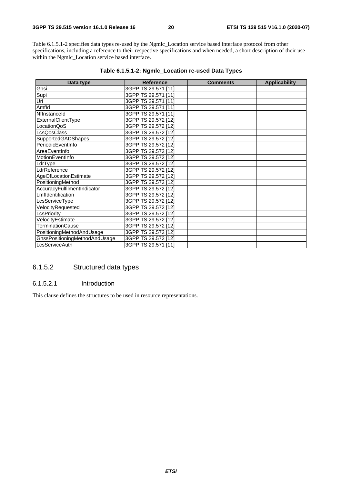Table 6.1.5.1-2 specifies data types re-used by the Ngmlc\_Location service based interface protocol from other specifications, including a reference to their respective specifications and when needed, a short description of their use within the Ngmlc\_Location service based interface.

| Data type                     | <b>Reference</b>    | <b>Comments</b> | <b>Applicability</b> |
|-------------------------------|---------------------|-----------------|----------------------|
| Gpsi                          | 3GPP TS 29.571 [11] |                 |                      |
| Supi                          | 3GPP TS 29.571 [11] |                 |                      |
| Uri                           | 3GPP TS 29.571 [11] |                 |                      |
| Amfld                         | 3GPP TS 29.571 [11] |                 |                      |
| Nflnstanceld                  | 3GPP TS 29.571 [11] |                 |                      |
| ExternalClientType            | 3GPP TS 29.572 [12] |                 |                      |
| LocationQoS                   | 3GPP TS 29.572 [12] |                 |                      |
| LcsQosClass                   | 3GPP TS 29.572 [12] |                 |                      |
| SupportedGADShapes            | 3GPP TS 29.572 [12] |                 |                      |
| PeriodicEventInfo             | 3GPP TS 29.572 [12] |                 |                      |
| AreaEventInfo                 | 3GPP TS 29.572 [12] |                 |                      |
| MotionEventInfo               | 3GPP TS 29.572 [12] |                 |                      |
| LdrType                       | 3GPP TS 29.572 [12] |                 |                      |
| LdrReference                  | 3GPP TS 29.572 [12] |                 |                      |
| AgeOfLocationEstimate         | 3GPP TS 29.572 [12] |                 |                      |
| PositioningMethod             | 3GPP TS 29.572 [12] |                 |                      |
| AccuracyFulfilmentIndicator   | 3GPP TS 29.572 [12] |                 |                      |
| Lmfldentification             | 3GPP TS 29.572 [12] |                 |                      |
| LcsServiceType                | 3GPP TS 29.572 [12] |                 |                      |
| VelocityRequested             | 3GPP TS 29.572 [12] |                 |                      |
| LcsPriority                   | 3GPP TS 29.572 [12] |                 |                      |
| VelocityEstimate              | 3GPP TS 29.572 [12] |                 |                      |
| TerminationCause              | 3GPP TS 29.572 [12] |                 |                      |
| PositioningMethodAndUsage     | 3GPP TS 29.572 [12] |                 |                      |
| GnssPositioningMethodAndUsage | 3GPP TS 29.572 [12] |                 |                      |
| LcsServiceAuth                | 3GPP TS 29.571 [11] |                 |                      |

#### **Table 6.1.5.1-2: Ngmlc\_Location re-used Data Types**

### 6.1.5.2 Structured data types

#### 6.1.5.2.1 Introduction

This clause defines the structures to be used in resource representations.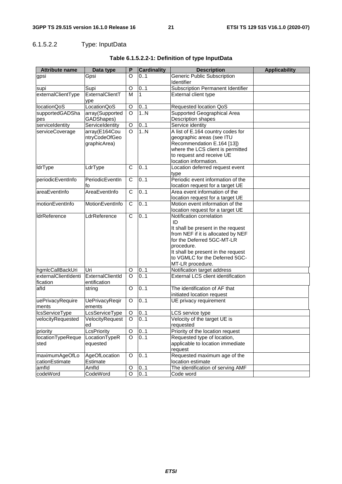# 6.1.5.2.2 Type: InputData

| <b>Attribute name</b>            | Data type                                      | P              | <b>Cardinality</b> | <b>Description</b>                                                                                                                                                                                                     | <b>Applicability</b> |
|----------------------------------|------------------------------------------------|----------------|--------------------|------------------------------------------------------------------------------------------------------------------------------------------------------------------------------------------------------------------------|----------------------|
| gpsi                             | Gpsi                                           | O              | 0.1                | Generic Public Subscription<br>Identifier                                                                                                                                                                              |                      |
| supi                             | Supi                                           | O              | 01                 | Subscription Permanent Identifier                                                                                                                                                                                      |                      |
| externalClientType               | ExternalClientT<br>ype                         | M              | 1                  | External client type                                                                                                                                                                                                   |                      |
| locationQoS                      | LocationQoS                                    | O              | 01                 | Requested location QoS                                                                                                                                                                                                 |                      |
| supportedGADSha                  | array(Supported                                | $\circ$        | 1.N                | Supported Geographical Area                                                                                                                                                                                            |                      |
| pes                              | GADShapes)                                     |                |                    | Description shapes                                                                                                                                                                                                     |                      |
| serviceIdentity                  | ServiceIdentity                                | O              | 01                 | Service identity                                                                                                                                                                                                       |                      |
| serviceCoverage                  | array(E164Cou<br>ntryCodeOfGeo<br>graphicArea) | $\circ$        | 1.N                | A list of E.164 country codes for<br>geographic areas (see ITU<br>Recommendation E.164 [13])<br>where the LCS client is permitted<br>to request and receive UE<br>location information.                                |                      |
| <b>IdrType</b>                   | LdrType                                        | C              | 0.1                | Location deferred request event                                                                                                                                                                                        |                      |
|                                  |                                                |                |                    | type                                                                                                                                                                                                                   |                      |
| periodicEventInfo                | PeriodicEventIn<br>fo                          | $\overline{C}$ | 0.1                | Periodic event information of the<br>location request for a target UE                                                                                                                                                  |                      |
| areaEventInfo                    | AreaEventInfo                                  | C              | 0.1                | Area event information of the                                                                                                                                                                                          |                      |
|                                  |                                                |                |                    | location request for a target UE                                                                                                                                                                                       |                      |
| motionEventInfo                  | MotionEventInfo                                | C              | 0.1                | Motion event information of the                                                                                                                                                                                        |                      |
| <b>IdrReference</b>              | LdrReference                                   | C              | 0.1                | location request for a target UE<br>Notification correlation                                                                                                                                                           |                      |
|                                  |                                                |                |                    | ID<br>It shall be present in the request<br>from NEF if it is allocated by NEF<br>for the Deferred 5GC-MT-LR<br>procedure.<br>It shall be present in the request<br>to VGMLC for the Deferred 5GC-<br>MT-LR procedure. |                      |
| hgmlcCallBackUri                 | Uri                                            | O              | 0.1                | Notification target address                                                                                                                                                                                            |                      |
| externalClientIdenti<br>fication | ExternalClientId<br>entification               | $\circ$        | 0.1                | <b>External LCS client identification</b>                                                                                                                                                                              |                      |
| afld                             | string                                         | O              | 0.1                | The identification of AF that<br>initiated location request                                                                                                                                                            |                      |
| uePrivacyRequire<br>ments        | <b>UePrivacyReqir</b><br>ements                | O              | 0.1                | UE privacy requirement                                                                                                                                                                                                 |                      |
| <b>IcsServiceType</b>            | LcsServiceType                                 | O              | 01                 | LCS service type                                                                                                                                                                                                       |                      |
| velocityRequested                | VelocityRequest<br>ed                          | $\overline{O}$ | 0.1                | Velocity of the target UE is<br>requested                                                                                                                                                                              |                      |
| priority                         | LcsPriority                                    | O              | 01                 | Priority of the location request                                                                                                                                                                                       |                      |
| locationTypeReque<br>sted        | LocationTypeR<br>equested                      | O              | 0.1                | Requested type of location,<br>applicable to location immediate<br>request                                                                                                                                             |                      |
| maximumAgeOfLo<br>cationEstimate | AgeOfLocation<br>Estimate                      | O              | 0.1                | Requested maximum age of the<br>location estimate                                                                                                                                                                      |                      |
| amfld                            | Amfld                                          | O              | 01                 | The identification of serving AMF                                                                                                                                                                                      |                      |
| codeWord                         | CodeWord                                       | $\circ$        | 0.1                | Code word                                                                                                                                                                                                              |                      |

# **Table 6.1.5.2.2-1: Definition of type InputData**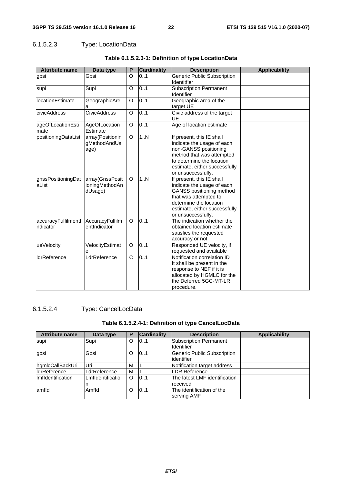## 6.1.5.2.3 Type: LocationData

| <b>Attribute name</b>           | Data type                                    | P        | <b>Cardinality</b> | <b>Description</b>                                                                                                                                                                                | <b>Applicability</b> |
|---------------------------------|----------------------------------------------|----------|--------------------|---------------------------------------------------------------------------------------------------------------------------------------------------------------------------------------------------|----------------------|
| gpsi                            | Gpsi                                         | O        | 0.1                | <b>Generic Public Subscription</b><br>Identitfier                                                                                                                                                 |                      |
| supi                            | Supi                                         | O        | 0.1                | <b>Subscription Permanent</b><br>Identifier                                                                                                                                                       |                      |
| <b>locationEstimate</b>         | GeographicAre<br>а                           | O        | 0.1                | Geographic area of the<br>target UE                                                                                                                                                               |                      |
| civicAddress                    | <b>CivicAddress</b>                          | O        | 0.1                | Civic address of the target<br>UE                                                                                                                                                                 |                      |
| ageOfLocationEsti<br>mate       | AgeOfLocation<br>Estimate                    | O        | 0.1                | Age of location estimate                                                                                                                                                                          |                      |
| positioningDataList             | array(Positionin<br>gMethodAndUs<br>age)     | O        | 1N                 | If present, this IE shall<br>indicate the usage of each<br>non-GANSS positioning<br>method that was attempted<br>to determine the location<br>estimate, either successfully<br>or unsuccessfully. |                      |
| gnssPositioningDat<br>aList     | array(GnssPosit<br>ioningMethodAn<br>dUsage) | O        | 1N                 | If present, this IE shall<br>indicate the usage of each<br>GANSS positioning method<br>that was attempted to<br>determine the location<br>estimate, either successfully<br>or unsuccessfully.     |                      |
| accuracyFulfilmentl<br>ndicator | AccuracyFulfilm<br>entIndicator              | $\Omega$ | 0.1                | The indication whether the<br>obtained location estimate<br>satisfies the requested<br>accuracy or not                                                                                            |                      |
| ueVelocity                      | VelocityEstimat<br>е                         | O        | 0.1                | Responded UE velocity, if<br>requested and available                                                                                                                                              |                      |
| <b>IdrReference</b>             | LdrReference                                 | C        | 0.1                | Notification correlation ID<br>It shall be present in the<br>response to NEF if it is<br>allocated by HGMLC for the<br>the Deferred 5GC-MT-LR<br>procedure.                                       |                      |

## **Table 6.1.5.2.3-1: Definition of type LocationData**

# 6.1.5.2.4 Type: CancelLocData

## **Table 6.1.5.2.4-1: Definition of type CancelLocData**

| <b>Attribute name</b> | Data type        | Р | <b>Cardinality</b> | <b>Description</b>            | <b>Applicability</b> |
|-----------------------|------------------|---|--------------------|-------------------------------|----------------------|
| supi                  | Supi             | O | 0.1                | <b>Subscription Permanent</b> |                      |
|                       |                  |   |                    | <b>I</b> dentifier            |                      |
| gpsi                  | Gpsi             | O | 0.1                | Generic Public Subscription   |                      |
|                       |                  |   |                    | lidentifier                   |                      |
| hgmlcCallBackUri      | Uri              | M |                    | Notification target address   |                      |
| <b>IdrReference</b>   | LdrReference     | M |                    | LDR Reference                 |                      |
| Ilmfldentification    | Lmfldentificatio | O | 0.1                | The latest LMF identification |                      |
|                       |                  |   |                    | received                      |                      |
| lamfld                | Amfld            | O | 101                | The identification of the     |                      |
|                       |                  |   |                    | serving AMF                   |                      |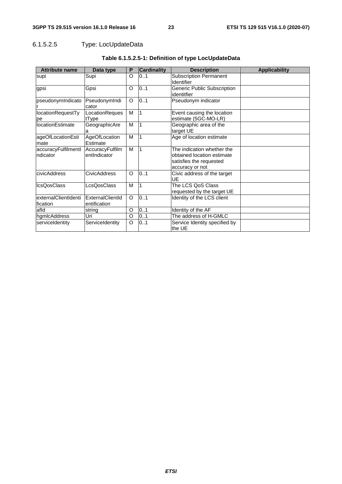# 6.1.5.2.5 Type: LocUpdateData

| <b>Attribute name</b>            | Data type                        | P       | <b>Cardinality</b> | <b>Description</b>                                                                                     | <b>Applicability</b> |
|----------------------------------|----------------------------------|---------|--------------------|--------------------------------------------------------------------------------------------------------|----------------------|
| supi                             | Supi                             | O       | 0.1                | <b>Subscription Permanent</b><br>Identifier                                                            |                      |
| gpsi                             | Gpsi                             | O       | 0.1                | Generic Public Subscription<br>identitfier                                                             |                      |
| pseudonymIndicato                | PseudonymIndi<br>cator           | O       | 0.1                | Pseudonym indicator                                                                                    |                      |
| locationRequestTy<br>pe          | LocationReques<br>tType          | M       |                    | Event causing the location<br>estimate (5GC-MO-LR)                                                     |                      |
| <b>locationEstimate</b>          | GeographicAre<br>a               | M       |                    | Geographic area of the<br>target UE                                                                    |                      |
| ageOfLocationEsti<br>mate        | AgeOfLocation<br>Estimate        | м       |                    | Age of location estimate                                                                               |                      |
| accuracyFulfilmentl<br>ndicator  | AccuracyFulfilm<br>entIndicator  | M       | 1                  | The indication whether the<br>obtained location estimate<br>satisfies the requested<br>accuracy or not |                      |
| civicAddress                     | <b>CivicAddress</b>              | O       | 0.1                | Civic address of the target<br>UE                                                                      |                      |
| <b>IcsQosClass</b>               | LcsQosClass                      | м       |                    | The LCS QoS Class<br>requested by the target UE                                                        |                      |
| externalClientIdenti<br>fication | ExternalClientId<br>entification | O       | 0.1                | Identity of the LCS client                                                                             |                      |
| afld                             | string                           | O       | 0.1                | Identity of the AF                                                                                     |                      |
| hamicAddress                     | Uri                              | O       | 0.1                | The address of H-GMLC                                                                                  |                      |
| serviceIdentity                  | ServiceIdentity                  | $\circ$ | 01                 | Service Identity specified by<br>the UE                                                                |                      |

# **Table 6.1.5.2.5-1: Definition of type LocUpdateData**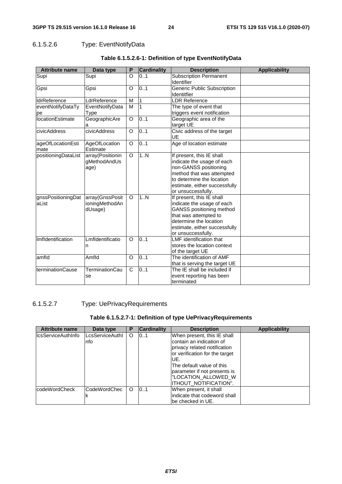# 6.1.5.2.6 Type: EventNotifyData

| <b>Attribute name</b>       | Data type                                    | P       | <b>Cardinality</b> | <b>Description</b>                                                                                                                                                                                | <b>Applicability</b> |
|-----------------------------|----------------------------------------------|---------|--------------------|---------------------------------------------------------------------------------------------------------------------------------------------------------------------------------------------------|----------------------|
| Supi                        | Supi                                         | O       | 0.1                | <b>Subscription Permanent</b><br>Identifier                                                                                                                                                       |                      |
| Gpsi                        | Gpsi                                         | O       | 0.1                | <b>Generic Public Subscription</b><br><b>Identitfier</b>                                                                                                                                          |                      |
| <b>IdrReference</b>         | LdrReference                                 | M       | 1                  | <b>LDR Reference</b>                                                                                                                                                                              |                      |
| eventNotifyDataTy<br>pe     | EventNotifyData<br>Type                      | M       | 1                  | The type of event that<br>triggers event notification                                                                                                                                             |                      |
| <b>locationEstimate</b>     | GeographicAre<br>а                           | $\circ$ | 0.1                | Geographic area of the<br>target UE                                                                                                                                                               |                      |
| civicAddress                | civicAddress                                 | O       | 0.1                | Civic address of the target<br><b>UE</b>                                                                                                                                                          |                      |
| ageOfLocationEsti<br>mate   | AgeOfLocation<br>Estimate                    | $\circ$ | 0.1                | Age of location estimate                                                                                                                                                                          |                      |
| positioningDataList         | array(Positionin<br>gMethodAndUs<br>age)     | $\circ$ | 1N                 | If present, this IE shall<br>indicate the usage of each<br>non-GANSS positioning<br>method that was attempted<br>to determine the location<br>estimate, either successfully<br>or unsuccessfully. |                      |
| gnssPositioningDat<br>aList | array(GnssPosit<br>ioningMethodAn<br>dUsage) | O       | 1N                 | If present, this IE shall<br>indicate the usage of each<br>GANSS positioning method<br>that was attempted to<br>determine the location<br>estimate, either successfully<br>or unsuccessfully.     |                      |
| Imfldentification           | Lmfldentificatio<br>n                        | $\circ$ | 0.1                | <b>LMF</b> identification that<br>stores the location context<br>of the target UE                                                                                                                 |                      |
| amfld                       | Amfld                                        | O       | 0.1                | The identification of AMF<br>that is serving the target UE                                                                                                                                        |                      |
| terminationCause            | <b>TerminationCau</b><br>se                  | C       | 0.1                | The IE shall be included if<br>event reporting has been<br>terminated                                                                                                                             |                      |

## **Table 6.1.5.2.6-1: Definition of type EventNotifyData**

## 6.1.5.2.7 Type: UePrivacyRequirements

### **Table 6.1.5.2.7-1: Definition of type UePrivacyRequirements**

| <b>Attribute name</b> | Data type              | Ρ        | <b>Cardinality</b> | <b>Description</b>                                                                                         | <b>Applicability</b> |
|-----------------------|------------------------|----------|--------------------|------------------------------------------------------------------------------------------------------------|----------------------|
| llcsServiceAuthInfo   | LcsServiceAuthl<br>nfo | O        | 0.1                | When present, this IE shall<br>Icontain an indication of                                                   |                      |
|                       |                        |          |                    | privacy related notification<br>or verification for the target<br>IUE.                                     |                      |
|                       |                        |          |                    | The default value of this<br>parameter if not presents is<br>"LOCATION ALLOWED W<br>IITHOUT NOTIFICATION". |                      |
| codeWordCheck         | <b>CodeWordChec</b>    | $\Omega$ | 101                | When present, it shall<br>lindicate that codeword shall<br>lbe checked in UE.                              |                      |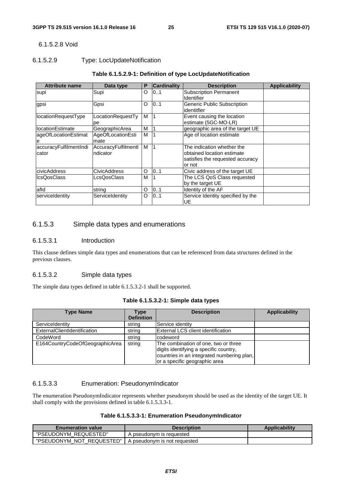#### 6.1.5.2.8 Void

#### 6.1.5.2.9 Type: LocUpdateNotification

#### **Table 6.1.5.2.9-1: Definition of type LocUpdateNotification**

| <b>Attribute name</b>           | Data type                       | P | <b>Cardinality</b> | <b>Description</b>                                                                                     | <b>Applicability</b> |
|---------------------------------|---------------------------------|---|--------------------|--------------------------------------------------------------------------------------------------------|----------------------|
| supi                            | Supi                            | O | 101                | <b>Subscription Permanent</b><br><b>Identifier</b>                                                     |                      |
| gpsi                            | Gpsi                            | O | 01                 | Generic Public Subscription<br>identitfier                                                             |                      |
| locationRequestType             | LocationRequestTy<br>рe         | м |                    | Event causing the location<br>estimate (5GC-MO-LR)                                                     |                      |
| locationEstimate                | GeographicArea                  | м |                    | geographic area of the target UE                                                                       |                      |
| ageOfLocationEstimat<br>e       | AgeOfLocationEsti<br>mate       | M |                    | Age of location estimate                                                                               |                      |
| accuracyFulfilmentIndi<br>cator | AccuracyFulfilmentl<br>ndicator | M |                    | The indication whether the<br>obtained location estimate<br>satisfies the requested accuracy<br>or not |                      |
| civicAddress                    | <b>CivicAddress</b>             | O | 101                | Civic address of the target UE                                                                         |                      |
| <b>IcsQosClass</b>              | _csQosClass                     | м |                    | The LCS QoS Class requested<br>by the target UE                                                        |                      |
| afld                            | string                          | O | 101                | Identity of the AF                                                                                     |                      |
| serviceIdentity                 | ServiceIdentity                 | O | 101                | Service Identity specified by the<br>UE                                                                |                      |

#### 6.1.5.3 Simple data types and enumerations

#### 6.1.5.3.1 Introduction

This clause defines simple data types and enumerations that can be referenced from data structures defined in the previous clauses.

#### 6.1.5.3.2 Simple data types

The simple data types defined in table 6.1.5.3.2-1 shall be supported.

| <b>Type Name</b>                | Type<br><b>Definition</b> | <b>Description</b>                                                                                                                                            | <b>Applicability</b> |
|---------------------------------|---------------------------|---------------------------------------------------------------------------------------------------------------------------------------------------------------|----------------------|
| ServiceIdentity                 | string                    | Service identity                                                                                                                                              |                      |
| ExternalClientIdentification    | string                    | <b>External LCS client identification</b>                                                                                                                     |                      |
| CodeWord                        | string                    | codeword                                                                                                                                                      |                      |
| E164CountryCodeOfGeographicArea | string                    | The combination of one, two or three<br>digits identifying a specific country,<br>countries in an integrated numbering plan,<br>or a specific geographic area |                      |

#### 6.1.5.3.3 Enumeration: PseudonymIndicator

The enumeration PseudonymIndicator represents whether pseudonym should be used as the identity of the target UE. It shall comply with the provisions defined in table 6.1.5.3.3-1.

#### **Table 6.1.5.3.3-1: Enumeration PseudonymIndicator**

| <b>Enumeration value</b>  | <b>Description</b>           | <b>Applicability</b> |
|---------------------------|------------------------------|----------------------|
| "PSEUDONYM REQUESTED"     | A pseudonym is requested     |                      |
| "PSEUDONYM NOT REQUESTED" | A pseudonym is not requested |                      |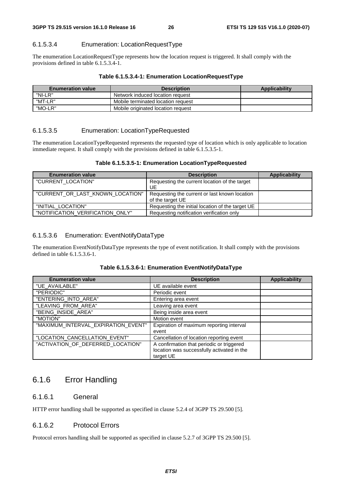#### 6.1.5.3.4 Enumeration: LocationRequestType

The enumeration LocationRequestType represents how the location request is triggered. It shall comply with the provisions defined in table 6.1.5.3.4-1.

#### **Table 6.1.5.3.4-1: Enumeration LocationRequestType**

| <b>Enumeration value</b> | <b>Description</b>                 | Applicability |
|--------------------------|------------------------------------|---------------|
| "NI-LR"                  | Network induced location request   |               |
| "MT-LR"                  | Mobile terminated location request |               |
| "MO-LR"                  | Mobile originated location request |               |

#### 6.1.5.3.5 Enumeration: LocationTypeRequested

The enumeration LocationTypeRequested represents the requested type of location which is only applicable to location immediate request. It shall comply with the provisions defined in table 6.1.5.3.5-1.

#### **Table 6.1.5.3.5-1: Enumeration LocationTypeRequested**

| <b>Enumeration value</b>         | <b>Description</b>                                                | <b>Applicability</b> |
|----------------------------------|-------------------------------------------------------------------|----------------------|
| "CURRENT_LOCATION"               | Requesting the current location of the target<br>UE               |                      |
| "CURRENT OR LAST KNOWN LOCATION" | Requesting the current or last known location<br>of the target UE |                      |
| "INITIAL_LOCATION"               | Requesting the initial location of the target UE                  |                      |
| "NOTIFICATION_VERIFICATION_ONLY" | Requesting notification verification only                         |                      |

#### 6.1.5.3.6 Enumeration: EventNotifyDataType

The enumeration EventNotifyDataType represents the type of event notification. It shall comply with the provisions defined in table 6.1.5.3.6-1.

| Table 6.1.5.3.6-1: Enumeration EventNotifyDataType |  |
|----------------------------------------------------|--|
|----------------------------------------------------|--|

| <b>Enumeration value</b>            | <b>Description</b>                         | <b>Applicability</b> |
|-------------------------------------|--------------------------------------------|----------------------|
| "UE AVAILABLE"                      | UE available event                         |                      |
| "PERIODIC"                          | Periodic event                             |                      |
| "ENTERING_INTO_AREA"                | Entering area event                        |                      |
| "LEAVING_FROM_AREA"                 | Leaving area event                         |                      |
| "BEING_INSIDE_AREA"                 | Being inside area event                    |                      |
| "MOTION"                            | Motion event                               |                      |
| "MAXIMUM_INTERVAL_EXPIRATION_EVENT" | Expiration of maximum reporting interval   |                      |
|                                     | event                                      |                      |
| "LOCATION_CANCELLATION_EVENT"       | Cancellation of location reporting event   |                      |
| "ACTIVATION_OF_DEFERRED_LOCATION"   | A confirmation that periodic or triggered  |                      |
|                                     | location was successfully activated in the |                      |
|                                     | target UE                                  |                      |

# 6.1.6 Error Handling

#### 6.1.6.1 General

HTTP error handling shall be supported as specified in clause 5.2.4 of 3GPP TS 29.500 [5].

# 6.1.6.2 Protocol Errors

Protocol errors handling shall be supported as specified in clause 5.2.7 of 3GPP TS 29.500 [5].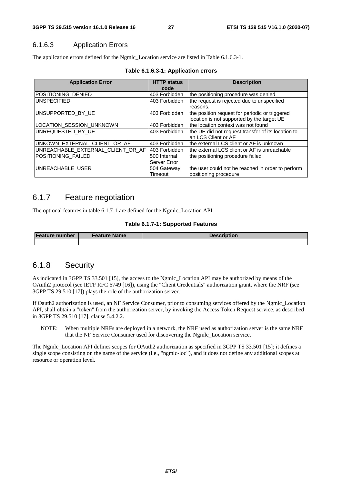### 6.1.6.3 Application Errors

The application errors defined for the Ngmlc\_Location service are listed in Table 6.1.6.3-1.

| <b>Application Error</b>          | <b>HTTP status</b><br>code | <b>Description</b>                                 |
|-----------------------------------|----------------------------|----------------------------------------------------|
|                                   |                            |                                                    |
| POSITIONING DENIED                | 403 Forbidden              | the positioning procedure was denied.              |
| <b>UNSPECIFIED</b>                | 403 Forbidden              | the request is rejected due to unspecified         |
|                                   |                            | reasons.                                           |
| UNSUPPORTED BY UE                 | I403 Forbidden             | the position request for periodic or triggered     |
|                                   |                            | location is not supported by the target UE         |
| LOCATION SESSION UNKNOWN          | 403 Forbidden              | the location context was not found                 |
| UNREQUESTED_BY_UE                 | 403 Forbidden              | the UE did not request transfer of its location to |
|                                   |                            | an LCS Client or AF                                |
| UNKOWN_EXTERNAL_CLIENT_OR_AF      | 403 Forbidden              | the external LCS client or AF is unknown           |
| UNREACHABLE_EXTERNAL_CLIENT_OR_AF | 403 Forbidden              | lthe external LCS client or AF is unreachable      |
| POSITIONING_FAILED                | 500 Internal               | the positioning procedure failed                   |
|                                   | Server Error               |                                                    |
| UNREACHABLE USER                  | 504 Gateway                | the user could not be reached in order to perform  |
|                                   | Timeout                    | positioning procedure                              |

#### **Table 6.1.6.3-1: Application errors**

# 6.1.7 Feature negotiation

The optional features in table 6.1.7-1 are defined for the Ngmlc\_Location API.

#### **Table 6.1.7-1: Supported Features**

| <b>Feature number</b> | <b>⊦Feature Name</b> | <b>Description</b> |
|-----------------------|----------------------|--------------------|
|                       |                      |                    |

### 6.1.8 Security

As indicated in 3GPP TS 33.501 [15], the access to the Ngmlc\_Location API may be authorized by means of the OAuth2 protocol (see IETF RFC 6749 [16]), using the "Client Credentials" authorization grant, where the NRF (see 3GPP TS 29.510 [17]) plays the role of the authorization server.

If Oauth2 authorization is used, an NF Service Consumer, prior to consuming services offered by the Ngmlc\_Location API, shall obtain a "token" from the authorization server, by invoking the Access Token Request service, as described in 3GPP TS 29.510 [17], clause 5.4.2.2.

NOTE: When multiple NRFs are deployed in a network, the NRF used as authorization server is the same NRF that the NF Service Consumer used for discovering the Ngmlc\_Location service.

The Ngmlc\_Location API defines scopes for OAuth2 authorization as specified in 3GPP TS 33.501 [15]; it defines a single scope consisting on the name of the service (i.e., "ngmlc-loc"), and it does not define any additional scopes at resource or operation level.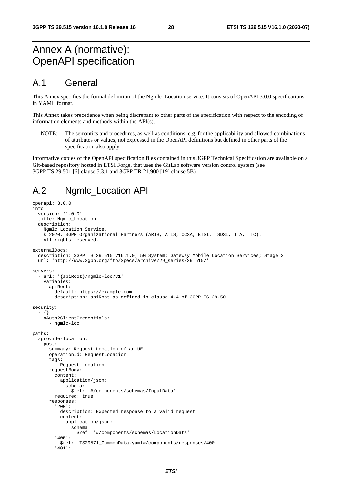# Annex A (normative): OpenAPI specification

# A.1 General

This Annex specifies the formal definition of the Ngmlc\_Location service. It consists of OpenAPI 3.0.0 specifications, in YAML format.

This Annex takes precedence when being discrepant to other parts of the specification with respect to the encoding of information elements and methods within the API(s).

NOTE: The semantics and procedures, as well as conditions, e.g. for the applicability and allowed combinations of attributes or values, not expressed in the OpenAPI definitions but defined in other parts of the specification also apply.

Informative copies of the OpenAPI specification files contained in this 3GPP Technical Specification are available on a Git-based repository hosted in ETSI Forge, that uses the GitLab software version control system (see 3GPP TS 29.501 [6] clause 5.3.1 and 3GPP TR 21.900 [19] clause 5B).

# A.2 Ngmlc\_Location API

```
openapi: 3.0.0 
info: 
   version: '1.0.0' 
   title: Ngmlc_Location 
   description: | 
    Ngmlc Location Service.
     © 2020, 3GPP Organizational Partners (ARIB, ATIS, CCSA, ETSI, TSDSI, TTA, TTC). 
     All rights reserved. 
externalDocs: 
   description: 3GPP TS 29.515 V16.1.0; 5G System; Gateway Mobile Location Services; Stage 3 
   url: 'http://www.3gpp.org/ftp/Specs/archive/29_series/29.515/' 
servers: 
   - url: '{apiRoot}/ngmlc-loc/v1' 
     variables: 
       apiRoot: 
         default: https://example.com 
         description: apiRoot as defined in clause 4.4 of 3GPP TS 29.501 
security: 
   - {} 
   - oAuth2ClientCredentials: 
      - ngmlc-loc
paths: 
   /provide-location: 
     post: 
       summary: Request Location of an UE 
       operationId: RequestLocation 
       tags: 
          - Request Location 
       requestBody: 
         content: 
           application/json: 
              schema: 
                $ref: '#/components/schemas/InputData' 
         required: true 
       responses: 
          '200': 
           description: Expected response to a valid request 
            content: 
              application/json: 
                schema: 
                  $ref: '#/components/schemas/LocationData' 
          '400': 
            $ref: 'TS29571_CommonData.yaml#/components/responses/400' 
          '401':
```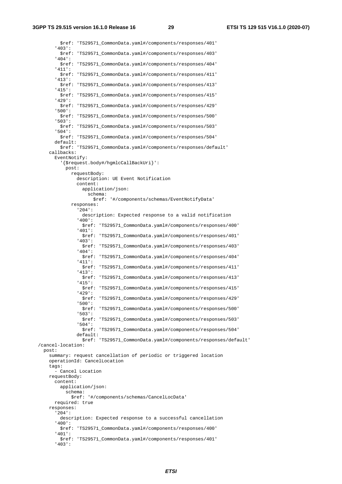**3GPP TS 29.515 version 16.1.0 Release 16 29 ETSI TS 129 515 V16.1.0 (2020-07)**

 \$ref: 'TS29571\_CommonData.yaml#/components/responses/401' '403': \$ref: 'TS29571\_CommonData.yaml#/components/responses/403' '404': \$ref: 'TS29571\_CommonData.yaml#/components/responses/404' '411': \$ref: 'TS29571\_CommonData.yaml#/components/responses/411' '413': \$ref: 'TS29571\_CommonData.yaml#/components/responses/413' '415': \$ref: 'TS29571\_CommonData.yaml#/components/responses/415' '429': \$ref: 'TS29571\_CommonData.yaml#/components/responses/429' '500': \$ref: 'TS29571\_CommonData.yaml#/components/responses/500' '503': \$ref: 'TS29571\_CommonData.yaml#/components/responses/503' '504': \$ref: 'TS29571\_CommonData.yaml#/components/responses/504' default: \$ref: 'TS29571\_CommonData.yaml#/components/responses/default' callbacks: EventNotify: '{\$request.body#/hgmlcCallBackUri}': post: requestBody: description: UE Event Notification content: application/json: schema: \$ref: '#/components/schemas/EventNotifyData' responses: '204': description: Expected response to a valid notification '400': \$ref: 'TS29571\_CommonData.yaml#/components/responses/400' '401': \$ref: 'TS29571\_CommonData.yaml#/components/responses/401' '403': \$ref: 'TS29571\_CommonData.yaml#/components/responses/403' '404': \$ref: 'TS29571\_CommonData.yaml#/components/responses/404' '411': \$ref: 'TS29571\_CommonData.yaml#/components/responses/411' '413': \$ref: 'TS29571\_CommonData.yaml#/components/responses/413' '415': \$ref: 'TS29571\_CommonData.yaml#/components/responses/415' '429': \$ref: 'TS29571\_CommonData.yaml#/components/responses/429' '500': \$ref: 'TS29571\_CommonData.yaml#/components/responses/500' '503': \$ref: 'TS29571\_CommonData.yaml#/components/responses/503' '504': \$ref: 'TS29571\_CommonData.yaml#/components/responses/504' default: \$ref: 'TS29571\_CommonData.yaml#/components/responses/default' /cancel-location: post: summary: request cancellation of periodic or triggered location operationId: CancelLocation tags: - Cancel Location requestBody: content: application/json: schema: \$ref: '#/components/schemas/CancelLocData' required: true responses: '204': description: Expected response to a successful cancellation '400': \$ref: 'TS29571\_CommonData.yaml#/components/responses/400' '401': \$ref: 'TS29571\_CommonData.yaml#/components/responses/401' '403':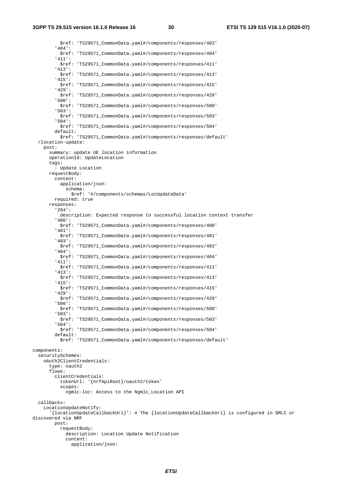\$ref: 'TS29571\_CommonData.yaml#/components/responses/403' '404': \$ref: 'TS29571\_CommonData.yaml#/components/responses/404' '411': \$ref: 'TS29571\_CommonData.yaml#/components/responses/411' '413': \$ref: 'TS29571\_CommonData.yaml#/components/responses/413' '415': \$ref: 'TS29571\_CommonData.yaml#/components/responses/415' '429': \$ref: 'TS29571\_CommonData.yaml#/components/responses/429' '500': \$ref: 'TS29571\_CommonData.yaml#/components/responses/500' '503': \$ref: 'TS29571\_CommonData.yaml#/components/responses/503' '504': \$ref: 'TS29571\_CommonData.yaml#/components/responses/504' default: \$ref: 'TS29571\_CommonData.yaml#/components/responses/default' /location-update: post: summary: update UE location information operationId: UpdateLocation tags: - Update Location requestBody: content: application/json: schema: \$ref: '#/components/schemas/LocUpdateData' required: true responses: '204': description: Expected response to successful location context transfer '400': \$ref: 'TS29571\_CommonData.yaml#/components/responses/400' '401': \$ref: 'TS29571\_CommonData.yaml#/components/responses/401' '403': \$ref: 'TS29571\_CommonData.yaml#/components/responses/403' '404': \$ref: 'TS29571\_CommonData.yaml#/components/responses/404' '411': \$ref: 'TS29571\_CommonData.yaml#/components/responses/411' '413': \$ref: 'TS29571\_CommonData.yaml#/components/responses/413' '415': \$ref: 'TS29571\_CommonData.yaml#/components/responses/415' '429': \$ref: 'TS29571\_CommonData.yaml#/components/responses/429' '500': \$ref: 'TS29571\_CommonData.yaml#/components/responses/500' '503': \$ref: 'TS29571\_CommonData.yaml#/components/responses/503' '504': \$ref: 'TS29571\_CommonData.yaml#/components/responses/504' default: \$ref: 'TS29571\_CommonData.yaml#/components/responses/default' components: securitySchemes: oAuth2ClientCredentials: type: oauth2 flows: clientCredentials: tokenUrl: '{nrfApiRoot}/oauth2/token' scopes: ngmlc-loc: Access to the Ngmlc\_Location API callbacks: LocationUpdateNotify: '{locationUpdateCallbackUri}': # The {locationUpdateCallbackUri} is configured in GMLC or discovered via NRF post: requestBody: description: Location Update Notification content: application/json: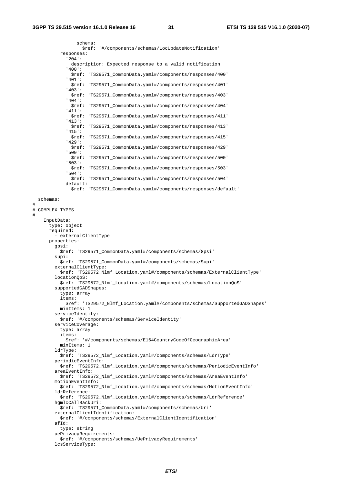$\frac{4}{4}$ 

#

 schema: \$ref: '#/components/schemas/LocUpdateNotification' responses: '204': description: Expected response to a valid notification '400': \$ref: 'TS29571\_CommonData.yaml#/components/responses/400' '401': \$ref: 'TS29571\_CommonData.yaml#/components/responses/401' '403': \$ref: 'TS29571\_CommonData.yaml#/components/responses/403' '404': \$ref: 'TS29571\_CommonData.yaml#/components/responses/404' '411': \$ref: 'TS29571\_CommonData.yaml#/components/responses/411' '413': \$ref: 'TS29571\_CommonData.yaml#/components/responses/413' '415': \$ref: 'TS29571\_CommonData.yaml#/components/responses/415' '429': \$ref: 'TS29571\_CommonData.yaml#/components/responses/429' '500': \$ref: 'TS29571\_CommonData.yaml#/components/responses/500' '503': \$ref: 'TS29571\_CommonData.yaml#/components/responses/503' '504': \$ref: 'TS29571\_CommonData.yaml#/components/responses/504' default: \$ref: 'TS29571\_CommonData.yaml#/components/responses/default' schemas: COMPLEX TYPES InputData: type: object required: - externalClientType properties: gpsi: \$ref: 'TS29571\_CommonData.yaml#/components/schemas/Gpsi' supi: \$ref: 'TS29571\_CommonData.yaml#/components/schemas/Supi' externalClientType: \$ref: 'TS29572\_Nlmf\_Location.yaml#/components/schemas/ExternalClientType' locationQoS: \$ref: 'TS29572\_Nlmf\_Location.yaml#/components/schemas/LocationQoS' supportedGADShapes: type: array items: \$ref: 'TS29572\_Nlmf\_Location.yaml#/components/schemas/SupportedGADShapes' minItems: 1 serviceIdentity: \$ref: '#/components/schemas/ServiceIdentity' serviceCoverage: type: array items: \$ref: '#/components/schemas/E164CountryCodeOfGeographicArea' minItems: 1 ldrType: \$ref: 'TS29572\_Nlmf\_Location.yaml#/components/schemas/LdrType' periodicEventInfo: \$ref: 'TS29572\_Nlmf\_Location.yaml#/components/schemas/PeriodicEventInfo' areaEventInfo: \$ref: 'TS29572\_Nlmf\_Location.yaml#/components/schemas/AreaEventInfo' motionEventInfo: \$ref: 'TS29572\_Nlmf\_Location.yaml#/components/schemas/MotionEventInfo' ldrReference: \$ref: 'TS29572\_Nlmf\_Location.yaml#/components/schemas/LdrReference' hgmlcCallBackUri: \$ref: 'TS29571\_CommonData.yaml#/components/schemas/Uri' externalClientIdentification: \$ref: '#/components/schemas/ExternalClientIdentification' afId: type: string uePrivacyRequirements: \$ref: '#/components/schemas/UePrivacyRequirements' lcsServiceType: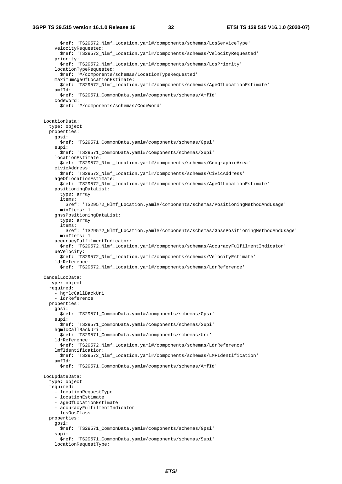\$ref: 'TS29572\_Nlmf\_Location.yaml#/components/schemas/LcsServiceType' velocityRequested: \$ref: 'TS29572\_Nlmf\_Location.yaml#/components/schemas/VelocityRequested' priority: \$ref: 'TS29572\_Nlmf\_Location.yaml#/components/schemas/LcsPriority' locationTypeRequested: \$ref: '#/components/schemas/LocationTypeRequested' maximumAgeOfLocationEstimate: \$ref: 'TS29572\_Nlmf\_Location.yaml#/components/schemas/AgeOfLocationEstimate' amfId: \$ref: 'TS29571\_CommonData.yaml#/components/schemas/AmfId' codeWord: \$ref: '#/components/schemas/CodeWord' LocationData: type: object properties: gpsi: \$ref: 'TS29571\_CommonData.yaml#/components/schemas/Gpsi' supi: \$ref: 'TS29571\_CommonData.yaml#/components/schemas/Supi' locationEstimate: \$ref: 'TS29572\_Nlmf\_Location.yaml#/components/schemas/GeographicArea' civicAddress: \$ref: 'TS29572\_Nlmf\_Location.yaml#/components/schemas/CivicAddress' ageOfLocationEstimate: \$ref: 'TS29572\_Nlmf\_Location.yaml#/components/schemas/AgeOfLocationEstimate' positioningDataList: type: array items: \$ref: 'TS29572\_Nlmf\_Location.yaml#/components/schemas/PositioningMethodAndUsage' minItems: 1 gnssPositioningDataList: type: array items: \$ref: 'TS29572\_Nlmf\_Location.yaml#/components/schemas/GnssPositioningMethodAndUsage' minItems: 1 accuracyFulfilmentIndicator: \$ref: 'TS29572\_Nlmf\_Location.yaml#/components/schemas/AccuracyFulfilmentIndicator' ueVelocity: \$ref: 'TS29572\_Nlmf\_Location.yaml#/components/schemas/VelocityEstimate' ldrReference: \$ref: 'TS29572\_Nlmf\_Location.yaml#/components/schemas/LdrReference' CancelLocData: type: object required: - hgmlcCallBackUri - ldrReference properties: gpsi: \$ref: 'TS29571\_CommonData.yaml#/components/schemas/Gpsi' supi: \$ref: 'TS29571\_CommonData.yaml#/components/schemas/Supi' hgmlcCallBackUri: \$ref: 'TS29571\_CommonData.yaml#/components/schemas/Uri' ldrReference: \$ref: 'TS29572\_Nlmf\_Location.yaml#/components/schemas/LdrReference' lmfIdentification: \$ref: 'TS29572\_Nlmf\_Location.yaml#/components/schemas/LMFIdentification' amfId: \$ref: 'TS29571\_CommonData.yaml#/components/schemas/AmfId' LocUpdateData: type: object required: - locationRequestType - locationEstimate - ageOfLocationEstimate - accuracyFulfilmentIndicator - lcsQosClass properties: gpsi: \$ref: 'TS29571\_CommonData.yaml#/components/schemas/Gpsi' supi: \$ref: 'TS29571\_CommonData.yaml#/components/schemas/Supi' locationRequestType: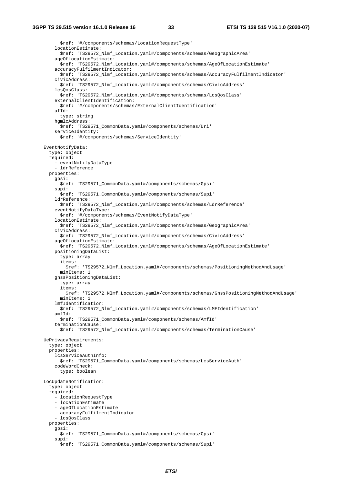\$ref: '#/components/schemas/LocationRequestType' locationEstimate: \$ref: 'TS29572\_Nlmf\_Location.yaml#/components/schemas/GeographicArea' ageOfLocationEstimate: \$ref: 'TS29572\_Nlmf\_Location.yaml#/components/schemas/AgeOfLocationEstimate' accuracyFulfilmentIndicator: \$ref: 'TS29572\_Nlmf\_Location.yaml#/components/schemas/AccuracyFulfilmentIndicator' civicAddress: \$ref: 'TS29572\_Nlmf\_Location.yaml#/components/schemas/CivicAddress' lcsQosClass: \$ref: 'TS29572\_Nlmf\_Location.yaml#/components/schemas/LcsQosClass' externalClientIdentification: \$ref: '#/components/schemas/ExternalClientIdentification' afId: type: string hgmlcAddress: \$ref: 'TS29571\_CommonData.yaml#/components/schemas/Uri' serviceIdentity: \$ref: '#/components/schemas/ServiceIdentity' EventNotifyData: type: object required: - eventNotifyDataType - ldrReference properties: gpsi: \$ref: 'TS29571\_CommonData.yaml#/components/schemas/Gpsi' supi: \$ref: 'TS29571\_CommonData.yaml#/components/schemas/Supi' ldrReference: \$ref: 'TS29572\_Nlmf\_Location.yaml#/components/schemas/LdrReference' eventNotifyDataType: \$ref: '#/components/schemas/EventNotifyDataType' locationEstimate: \$ref: 'TS29572\_Nlmf\_Location.yaml#/components/schemas/GeographicArea' civicAddress: \$ref: 'TS29572\_Nlmf\_Location.yaml#/components/schemas/CivicAddress' ageOfLocationEstimate: \$ref: 'TS29572\_Nlmf\_Location.yaml#/components/schemas/AgeOfLocationEstimate' positioningDataList: type: array items: \$ref: 'TS29572\_Nlmf\_Location.yaml#/components/schemas/PositioningMethodAndUsage' minItems: 1 gnssPositioningDataList: type: array items: \$ref: 'TS29572\_Nlmf\_Location.yaml#/components/schemas/GnssPositioningMethodAndUsage' minItems: 1 lmfIdentification: \$ref: 'TS29572\_Nlmf\_Location.yaml#/components/schemas/LMFIdentification' amfId: \$ref: 'TS29571\_CommonData.yaml#/components/schemas/AmfId' terminationCause: \$ref: 'TS29572\_Nlmf\_Location.yaml#/components/schemas/TerminationCause' UePrivacyRequirements: type: object properties: lcsServiceAuthInfo: \$ref: 'TS29571\_CommonData.yaml#/components/schemas/LcsServiceAuth' codeWordCheck: type: boolean LocUpdateNotification: type: object required: - locationRequestType - locationEstimate - ageOfLocationEstimate - accuracyFulfilmentIndicator - lcsQosClass properties: gpsi: \$ref: 'TS29571\_CommonData.yaml#/components/schemas/Gpsi' supi: \$ref: 'TS29571\_CommonData.yaml#/components/schemas/Supi'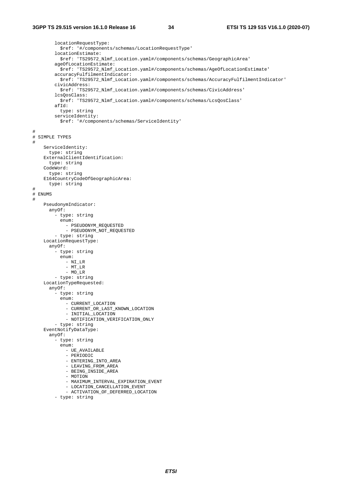```
 locationRequestType: 
            $ref: '#/components/schemas/LocationRequestType' 
          locationEstimate: 
           $ref: 'TS29572_Nlmf_Location.yaml#/components/schemas/GeographicArea' 
          ageOfLocationEstimate: 
           $ref: 'TS29572_Nlmf_Location.yaml#/components/schemas/AgeOfLocationEstimate' 
          accuracyFulfilmentIndicator: 
           $ref: 'TS29572_Nlmf_Location.yaml#/components/schemas/AccuracyFulfilmentIndicator' 
         civicAddress: 
           $ref: 'TS29572_Nlmf_Location.yaml#/components/schemas/CivicAddress' 
          lcsQosClass: 
           $ref: 'TS29572_Nlmf_Location.yaml#/components/schemas/LcsQosClass' 
        affd:
           type: string 
         serviceIdentity: 
           $ref: '#/components/schemas/ServiceIdentity' 
# 
# SIMPLE TYPES 
# 
     ServiceIdentity: 
       type: string 
     ExternalClientIdentification: 
      type: string 
     CodeWord: 
       type: string 
     E164CountryCodeOfGeographicArea: 
       type: string 
# 
# ENUMS 
# 
     PseudonymIndicator: 
       anyOf: 
          - type: string 
           enum: 
             - PSEUDONYM_REQUESTED 
             - PSEUDONYM NOT REQUESTED
         - type: string 
     LocationRequestType: 
       anyOf: 
          - type: string 
           enum: 
              - NI_LR 
             - MT_LR 
              - MO_LR 
          - type: string 
     LocationTypeRequested: 
       anyOf: 
           - type: string 
           enum: 
              - CURRENT_LOCATION 
              - CURRENT_OR_LAST_KNOWN_LOCATION 
              - INITIAL_LOCATION 
              - NOTIFICATION_VERIFICATION_ONLY 
          - type: string 
     EventNotifyDataType: 
       anyOf: 
          - type: string 
           enum: 
              - UE_AVAILABLE 
              - PERIODIC 
              - ENTERING_INTO_AREA 
              - LEAVING_FROM_AREA 
              - BEING_INSIDE_AREA 
              - MOTION 
              - MAXIMUM_INTERVAL_EXPIRATION_EVENT 
              - LOCATION_CANCELLATION_EVENT 
              - ACTIVATION_OF_DEFERRED_LOCATION 
          - type: string
```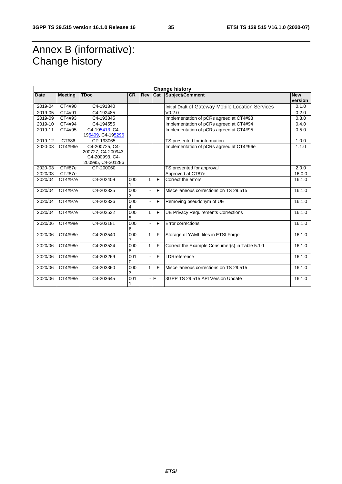# Annex B (informative): Change history

|             |                |                                                                             |           |     |     | <b>Change history</b>                             |                       |
|-------------|----------------|-----------------------------------------------------------------------------|-----------|-----|-----|---------------------------------------------------|-----------------------|
| <b>Date</b> | <b>Meeting</b> | <b>TDoc</b>                                                                 | <b>CR</b> | Rev |     | Cat Subject/Comment                               | <b>New</b><br>version |
| 2019-04     | CT4#90         | C4-191340                                                                   |           |     |     | Initial Draft of Gateway Mobile Location Services | 0.1.0                 |
| 2019-05     | CT4#91         | C4-192485                                                                   |           |     |     | V <sub>0.2.0</sub>                                | 0.2.0                 |
| 2019-09     | CT4#93         | C4-193845                                                                   |           |     |     | Implementation of pCRs agreed at CT4#93           | 0.3.0                 |
| 2019-10     | CT4#94         | C4-194555                                                                   |           |     |     | Implementation of pCRs agreed at CT4#94           | 0.4.0                 |
| 2019-11     | CT4#95         | C4-195413. C4-<br>195409, C4-195296                                         |           |     |     | Implementation of pCRs agreed at CT4#95           | 0.5.0                 |
| 2019-12     | <b>CT#86</b>   | CP-193065                                                                   |           |     |     | TS presented for information                      | 1.0.0                 |
| 2020-03     | CT4#96e        | C4-200725, C4-<br>200727, C4-200943,<br>C4-200993, C4-<br>200995, C4-201286 |           |     |     | Implementation of pCRs agreed at CT4#96e          | 1.1.0                 |
| 2020-03     | <b>CT#87e</b>  | CP-200060                                                                   |           |     |     | TS presented for approval                         | 2.0.0                 |
| 2020/03     | CT#87e         |                                                                             |           |     |     | Approved at CT87e                                 | 16.0.0                |
| 2020/04     | CT4#97e        | C4-202409                                                                   | 000       | 1   | F   | Correct the errors                                | 16.1.0                |
| 2020/04     | CT4#97e        | C4-202325                                                                   | 000<br>3  |     | E   | Miscellaneous corrections on TS 29.515            | 16.1.0                |
| 2020/04     | CT4#97e        | C4-202326                                                                   | 000<br>4  |     | F   | Removing pseudonym of UE                          | 16.1.0                |
| 2020/04     | CT4#97e        | C4-202532                                                                   | 000<br>5  | 1   | E   | <b>UE Privacy Requirements Corrections</b>        | 16.1.0                |
| 2020/06     | CT4#98e        | C4-203181                                                                   | 000<br>6  |     | F   | Error corrections                                 | 16.1.0                |
| 2020/06     | CT4#98e        | C4-203540                                                                   | 000       | 1   | F   | Storage of YAML files in ETSI Forge               | 16.1.0                |
| 2020/06     | CT4#98e        | C4-203524                                                                   | 000<br>8  | 1   | F   | Correct the Example Consumer(s) in Table 5.1-1    | 16.1.0                |
| 2020/06     | CT4#98e        | C4-203269                                                                   | 001<br>0  |     | F   | LDRreference                                      | 16.1.0                |
| 2020/06     | CT4#98e        | C4-203360                                                                   | 000<br>3  | 1   | F   | Miscellaneous corrections on TS 29.515            | 16.1.0                |
| 2020/06     | CT4#98e        | C4-203645                                                                   | 001       |     | -IF | 3GPP TS 29.515 API Version Update                 | 16.1.0                |